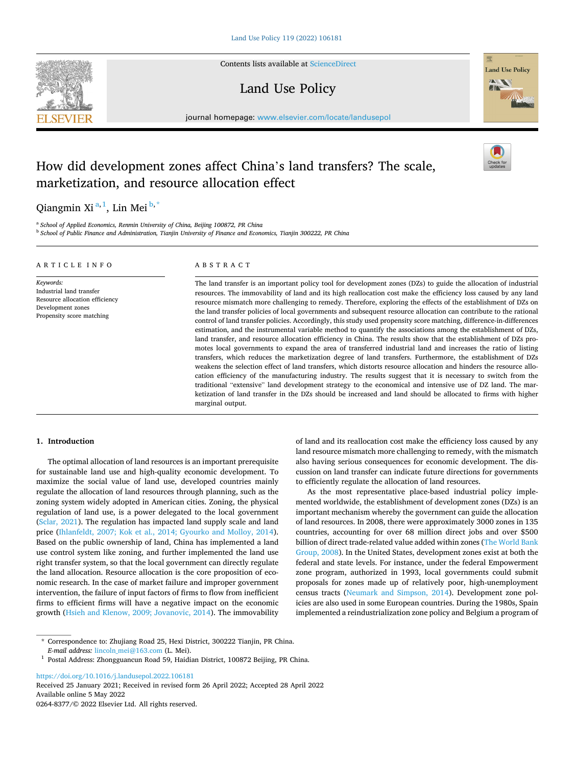

Contents lists available at [ScienceDirect](www.sciencedirect.com/science/journal/02648377)

# Land Use Policy



journal homepage: [www.elsevier.com/locate/landusepol](https://www.elsevier.com/locate/landusepol)

# How did development zones affect China's land transfers? The scale, marketization, and resource allocation effect

Qiangmin Xi<sup>a, 1</sup>, Lin Mei <sup>b,\*</sup>

<sup>a</sup> *School of Applied Economics, Renmin University of China, Beijing 100872, PR China* <sup>b</sup> *School of Public Finance and Administration, Tianjin University of Finance and Economics, Tianjin 300222, PR China* 

| ARTICLE INFO                                                                                                              | ABSTRACT                                                                                                                                                                                                                                                                                                                                                                                                                                                                                                                                                                                                                                                                                                                                                                                                                                                                                                                                                                                                                                                                                                                                                                                                                                                                                                                                                                                                                                                                                                                                                 |
|---------------------------------------------------------------------------------------------------------------------------|----------------------------------------------------------------------------------------------------------------------------------------------------------------------------------------------------------------------------------------------------------------------------------------------------------------------------------------------------------------------------------------------------------------------------------------------------------------------------------------------------------------------------------------------------------------------------------------------------------------------------------------------------------------------------------------------------------------------------------------------------------------------------------------------------------------------------------------------------------------------------------------------------------------------------------------------------------------------------------------------------------------------------------------------------------------------------------------------------------------------------------------------------------------------------------------------------------------------------------------------------------------------------------------------------------------------------------------------------------------------------------------------------------------------------------------------------------------------------------------------------------------------------------------------------------|
| Keywords:<br>Industrial land transfer<br>Resource allocation efficiency<br>Development zones<br>Propensity score matching | The land transfer is an important policy tool for development zones (DZs) to guide the allocation of industrial<br>resources. The immovability of land and its high reallocation cost make the efficiency loss caused by any land<br>resource mismatch more challenging to remedy. Therefore, exploring the effects of the establishment of DZs on<br>the land transfer policies of local governments and subsequent resource allocation can contribute to the rational<br>control of land transfer policies. Accordingly, this study used propensity score matching, difference-in-differences<br>estimation, and the instrumental variable method to quantify the associations among the establishment of DZs,<br>land transfer, and resource allocation efficiency in China. The results show that the establishment of DZs pro-<br>motes local governments to expand the area of transferred industrial land and increases the ratio of listing<br>transfers, which reduces the marketization degree of land transfers. Furthermore, the establishment of DZs<br>weakens the selection effect of land transfers, which distorts resource allocation and hinders the resource allo-<br>cation efficiency of the manufacturing industry. The results suggest that it is necessary to switch from the<br>traditional "extensive" land development strategy to the economical and intensive use of DZ land. The mar-<br>ketization of land transfer in the DZs should be increased and land should be allocated to firms with higher<br>marginal output. |

# **1. Introduction**

The optimal allocation of land resources is an important prerequisite for sustainable land use and high-quality economic development. To maximize the social value of land use, developed countries mainly regulate the allocation of land resources through planning, such as the zoning system widely adopted in American cities. Zoning, the physical regulation of land use, is a power delegated to the local government ([Sclar, 2021\)](#page-12-0). The regulation has impacted land supply scale and land price [\(Ihlanfeldt, 2007; Kok et al., 2014; Gyourko and Molloy, 2014](#page-12-0)). Based on the public ownership of land, China has implemented a land use control system like zoning, and further implemented the land use right transfer system, so that the local government can directly regulate the land allocation. Resource allocation is the core proposition of economic research. In the case of market failure and improper government intervention, the failure of input factors of firms to flow from inefficient firms to efficient firms will have a negative impact on the economic growth [\(Hsieh and Klenow, 2009; Jovanovic, 2014](#page-12-0)). The immovability

of land and its reallocation cost make the efficiency loss caused by any land resource mismatch more challenging to remedy, with the mismatch also having serious consequences for economic development. The discussion on land transfer can indicate future directions for governments to efficiently regulate the allocation of land resources.

As the most representative place-based industrial policy implemented worldwide, the establishment of development zones (DZs) is an important mechanism whereby the government can guide the allocation of land resources. In 2008, there were approximately 3000 zones in 135 countries, accounting for over 68 million direct jobs and over \$500 billion of direct trade-related value added within zones ([The World Bank](#page-13-0)  [Group, 2008\)](#page-13-0). In the United States, development zones exist at both the federal and state levels. For instance, under the federal Empowerment zone program, authorized in 1993, local governments could submit proposals for zones made up of relatively poor, high-unemployment census tracts [\(Neumark and Simpson, 2014](#page-12-0)). Development zone policies are also used in some European countries. During the 1980s, Spain implemented a reindustrialization zone policy and Belgium a program of

\* Correspondence to: Zhujiang Road 25, Hexi District, 300222 Tianjin, PR China.

<https://doi.org/10.1016/j.landusepol.2022.106181>

Available online 5 May 2022 0264-8377/© 2022 Elsevier Ltd. All rights reserved. Received 25 January 2021; Received in revised form 26 April 2022; Accepted 28 April 2022

<sup>&</sup>lt;sup>1</sup> Postal Address: Zhongguancun Road 59, Haidian District, 100872 Beijing, PR China.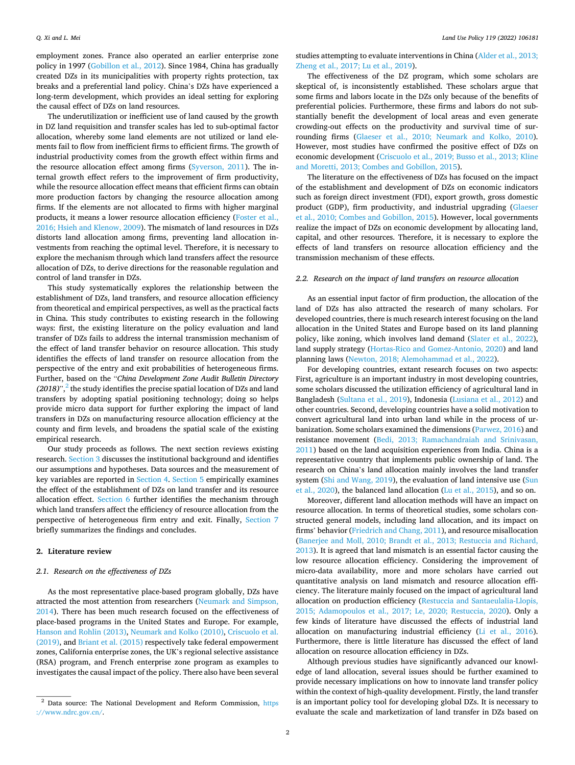employment zones. France also operated an earlier enterprise zone policy in 1997 [\(Gobillon et al., 2012\)](#page-12-0). Since 1984, China has gradually created DZs in its municipalities with property rights protection, tax breaks and a preferential land policy. China's DZs have experienced a long-term development, which provides an ideal setting for exploring the causal effect of DZs on land resources.

The underutilization or inefficient use of land caused by the growth in DZ land requisition and transfer scales has led to sub-optimal factor allocation, whereby some land elements are not utilized or land elements fail to flow from inefficient firms to efficient firms. The growth of industrial productivity comes from the growth effect within firms and the resource allocation effect among firms ([Syverson, 2011\)](#page-13-0). The internal growth effect refers to the improvement of firm productivity, while the resource allocation effect means that efficient firms can obtain more production factors by changing the resource allocation among firms. If the elements are not allocated to firms with higher marginal products, it means a lower resource allocation efficiency [\(Foster et al.,](#page-12-0)  [2016; Hsieh and Klenow, 2009\)](#page-12-0). The mismatch of land resources in DZs distorts land allocation among firms, preventing land allocation investments from reaching the optimal level. Therefore, it is necessary to explore the mechanism through which land transfers affect the resource allocation of DZs, to derive directions for the reasonable regulation and control of land transfer in DZs.

This study systematically explores the relationship between the establishment of DZs, land transfers, and resource allocation efficiency from theoretical and empirical perspectives, as well as the practical facts in China. This study contributes to existing research in the following ways: first, the existing literature on the policy evaluation and land transfer of DZs fails to address the internal transmission mechanism of the effect of land transfer behavior on resource allocation. This study identifies the effects of land transfer on resource allocation from the perspective of the entry and exit probabilities of heterogeneous firms. Further, based on the "*China Development Zone Audit Bulletin Directory*  (2018)",<sup>2</sup> the study identifies the precise spatial location of DZs and land transfers by adopting spatial positioning technology; doing so helps provide micro data support for further exploring the impact of land transfers in DZs on manufacturing resource allocation efficiency at the county and firm levels, and broadens the spatial scale of the existing empirical research.

Our study proceeds as follows. The next section reviews existing research. [Section 3](#page-2-0) discusses the institutional background and identifies our assumptions and hypotheses. Data sources and the measurement of key variables are reported in [Section 4](#page-3-0). [Section 5](#page-4-0) empirically examines the effect of the establishment of DZs on land transfer and its resource allocation effect. [Section 6](#page-9-0) further identifies the mechanism through which land transfers affect the efficiency of resource allocation from the perspective of heterogeneous firm entry and exit. Finally, [Section 7](#page-11-0)  briefly summarizes the findings and concludes.

# **2. Literature review**

# *2.1. Research on the effectiveness of DZs*

As the most representative place-based program globally, DZs have attracted the most attention from researchers ([Neumark and Simpson,](#page-12-0)  [2014\)](#page-12-0). There has been much research focused on the effectiveness of place-based programs in the United States and Europe. For example, [Hanson and Rohlin \(2013\)](#page-12-0), [Neumark and Kolko \(2010\), Criscuolo et al.](#page-12-0)  [\(2019\),](#page-12-0) and [Briant et al. \(2015\)](#page-12-0) respectively take federal empowerment zones, California enterprise zones, the UK's regional selective assistance (RSA) program, and French enterprise zone program as examples to investigates the causal impact of the policy. There also have been several

studies attempting to evaluate interventions in China [\(Alder et al., 2013;](#page-12-0)  [Zheng et al., 2017; Lu et al., 2019\)](#page-12-0).

The effectiveness of the DZ program, which some scholars are skeptical of, is inconsistently established. These scholars argue that some firms and labors locate in the DZs only because of the benefits of preferential policies. Furthermore, these firms and labors do not substantially benefit the development of local areas and even generate crowding-out effects on the productivity and survival time of surrounding firms [\(Glaeser et al., 2010; Neumark and Kolko, 2010](#page-12-0)). However, most studies have confirmed the positive effect of DZs on economic development [\(Criscuolo et al., 2019; Busso et al., 2013; Kline](#page-12-0)  [and Moretti, 2013; Combes and Gobillon, 2015\)](#page-12-0).

The literature on the effectiveness of DZs has focused on the impact of the establishment and development of DZs on economic indicators such as foreign direct investment (FDI), export growth, gross domestic product (GDP), firm productivity, and industrial upgrading ([Glaeser](#page-12-0)  [et al., 2010; Combes and Gobillon, 2015](#page-12-0)). However, local governments realize the impact of DZs on economic development by allocating land, capital, and other resources. Therefore, it is necessary to explore the effects of land transfers on resource allocation efficiency and the transmission mechanism of these effects.

# *2.2. Research on the impact of land transfers on resource allocation*

As an essential input factor of firm production, the allocation of the land of DZs has also attracted the research of many scholars. For developed countries, there is much research interest focusing on the land allocation in the United States and Europe based on its land planning policy, like zoning, which involves land demand ([Slater et al., 2022](#page-13-0)), land supply strategy ([Hortas-Rico and Gomez-Antonio, 2020](#page-12-0)) and land planning laws [\(Newton, 2018; Alemohammad et al., 2022](#page-12-0)).

For developing countries, extant research focuses on two aspects: First, agriculture is an important industry in most developing countries, some scholars discussed the utilization efficiency of agricultural land in Bangladesh [\(Sultana et al., 2019\)](#page-13-0), Indonesia [\(Lusiana et al., 2012](#page-12-0)) and other countries. Second, developing countries have a solid motivation to convert agricultural land into urban land while in the process of urbanization. Some scholars examined the dimensions [\(Parwez, 2016\)](#page-12-0) and resistance movement [\(Bedi, 2013; Ramachandraiah and Srinivasan,](#page-12-0)  [2011\)](#page-12-0) based on the land acquisition experiences from India. China is a representative country that implements public ownership of land. The research on China's land allocation mainly involves the land transfer system ([Shi and Wang, 2019\)](#page-12-0), the evaluation of land intensive use [\(Sun](#page-13-0)  [et al., 2020\)](#page-13-0), the balanced land allocation [\(Lu et al., 2015](#page-12-0)), and so on.

Moreover, different land allocation methods will have an impact on resource allocation. In terms of theoretical studies, some scholars constructed general models, including land allocation, and its impact on firms' behavior ([Friedrich and Chang, 2011](#page-12-0)), and resource misallocation ([Banerjee and Moll, 2010; Brandt et al., 2013; Restuccia and Richard,](#page-12-0)  [2013\)](#page-12-0). It is agreed that land mismatch is an essential factor causing the low resource allocation efficiency. Considering the improvement of micro-data availability, more and more scholars have carried out quantitative analysis on land mismatch and resource allocation efficiency. The literature mainly focused on the impact of agricultural land allocation on production efficiency ([Restuccia and Santaeulalia-Llopis,](#page-12-0)  [2015; Adamopoulos et al., 2017; Le, 2020; Restuccia, 2020\)](#page-12-0). Only a few kinds of literature have discussed the effects of industrial land allocation on manufacturing industrial efficiency [\(Li et al., 2016](#page-12-0)). Furthermore, there is little literature has discussed the effect of land allocation on resource allocation efficiency in DZs.

Although previous studies have significantly advanced our knowledge of land allocation, several issues should be further examined to provide necessary implications on how to innovate land transfer policy within the context of high-quality development. Firstly, the land transfer is an important policy tool for developing global DZs. It is necessary to evaluate the scale and marketization of land transfer in DZs based on

<sup>&</sup>lt;sup>2</sup> Data source: The National Development and Reform Commission, https [://www.ndrc.gov.cn/](https://www.ndrc.gov.cn/).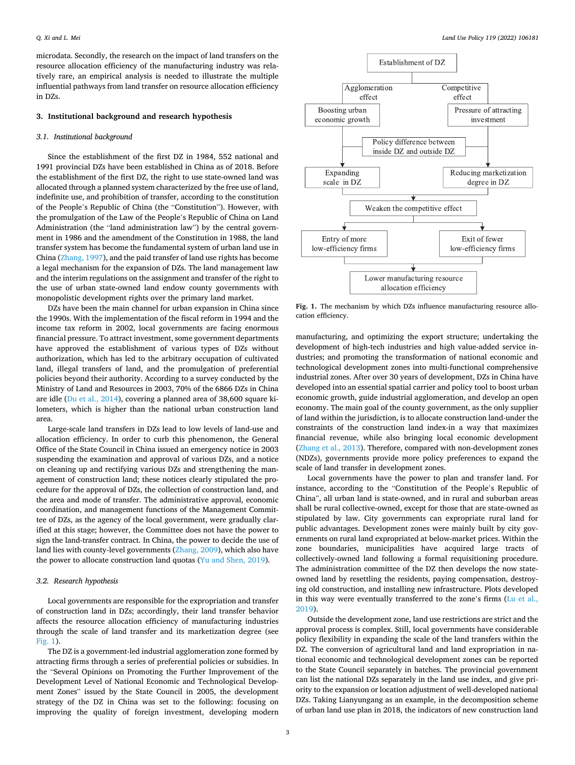<span id="page-2-0"></span>microdata. Secondly, the research on the impact of land transfers on the resource allocation efficiency of the manufacturing industry was relatively rare, an empirical analysis is needed to illustrate the multiple influential pathways from land transfer on resource allocation efficiency in DZs.

## **3. Institutional background and research hypothesis**

## *3.1. Institutional background*

Since the establishment of the first DZ in 1984, 552 national and 1991 provincial DZs have been established in China as of 2018. Before the establishment of the first DZ, the right to use state-owned land was allocated through a planned system characterized by the free use of land, indefinite use, and prohibition of transfer, according to the constitution of the People's Republic of China (the "Constitution"). However, with the promulgation of the Law of the People's Republic of China on Land Administration (the "land administration law") by the central government in 1986 and the amendment of the Constitution in 1988, the land transfer system has become the fundamental system of urban land use in China ([Zhang, 1997\)](#page-13-0), and the paid transfer of land use rights has become a legal mechanism for the expansion of DZs. The land management law and the interim regulations on the assignment and transfer of the right to the use of urban state-owned land endow county governments with monopolistic development rights over the primary land market.

DZs have been the main channel for urban expansion in China since the 1990s. With the implementation of the fiscal reform in 1994 and the income tax reform in 2002, local governments are facing enormous financial pressure. To attract investment, some government departments have approved the establishment of various types of DZs without authorization, which has led to the arbitrary occupation of cultivated land, illegal transfers of land, and the promulgation of preferential policies beyond their authority. According to a survey conducted by the Ministry of Land and Resources in 2003, 70% of the 6866 DZs in China are idle ([Du et al., 2014](#page-12-0)), covering a planned area of 38,600 square kilometers, which is higher than the national urban construction land area.

Large-scale land transfers in DZs lead to low levels of land-use and allocation efficiency. In order to curb this phenomenon, the General Office of the State Council in China issued an emergency notice in 2003 suspending the examination and approval of various DZs, and a notice on cleaning up and rectifying various DZs and strengthening the management of construction land; these notices clearly stipulated the procedure for the approval of DZs, the collection of construction land, and the area and mode of transfer. The administrative approval, economic coordination, and management functions of the Management Committee of DZs, as the agency of the local government, were gradually clarified at this stage; however, the Committee does not have the power to sign the land-transfer contract. In China, the power to decide the use of land lies with county-level governments ([Zhang, 2009\)](#page-13-0), which also have the power to allocate construction land quotas ([Yu and Shen, 2019\)](#page-13-0).

# *3.2. Research hypothesis*

Local governments are responsible for the expropriation and transfer of construction land in DZs; accordingly, their land transfer behavior affects the resource allocation efficiency of manufacturing industries through the scale of land transfer and its marketization degree (see Fig. 1).

The DZ is a government-led industrial agglomeration zone formed by attracting firms through a series of preferential policies or subsidies. In the "Several Opinions on Promoting the Further Improvement of the Development Level of National Economic and Technological Development Zones" issued by the State Council in 2005, the development strategy of the DZ in China was set to the following: focusing on improving the quality of foreign investment, developing modern



Fig. 1. The mechanism by which DZs influence manufacturing resource allocation efficiency.

manufacturing, and optimizing the export structure; undertaking the development of high-tech industries and high value-added service industries; and promoting the transformation of national economic and technological development zones into multi-functional comprehensive industrial zones. After over 30 years of development, DZs in China have developed into an essential spatial carrier and policy tool to boost urban economic growth, guide industrial agglomeration, and develop an open economy. The main goal of the county government, as the only supplier of land within the jurisdiction, is to allocate construction land-under the constraints of the construction land index-in a way that maximizes financial revenue, while also bringing local economic development ([Zhang et al., 2013](#page-13-0)). Therefore, compared with non-development zones (NDZs), governments provide more policy preferences to expand the scale of land transfer in development zones.

Local governments have the power to plan and transfer land. For instance, according to the "Constitution of the People's Republic of China", all urban land is state-owned, and in rural and suburban areas shall be rural collective-owned, except for those that are state-owned as stipulated by law. City governments can expropriate rural land for public advantages. Development zones were mainly built by city governments on rural land expropriated at below-market prices. Within the zone boundaries, municipalities have acquired large tracts of collectively-owned land following a formal requisitioning procedure. The administration committee of the DZ then develops the now stateowned land by resettling the residents, paying compensation, destroying old construction, and installing new infrastructure. Plots developed in this way were eventually transferred to the zone's firms [\(Lu et al.,](#page-12-0)  [2019\)](#page-12-0).

Outside the development zone, land use restrictions are strict and the approval process is complex. Still, local governments have considerable policy flexibility in expanding the scale of the land transfers within the DZ. The conversion of agricultural land and land expropriation in national economic and technological development zones can be reported to the State Council separately in batches. The provincial government can list the national DZs separately in the land use index, and give priority to the expansion or location adjustment of well-developed national DZs. Taking Lianyungang as an example, in the decomposition scheme of urban land use plan in 2018, the indicators of new construction land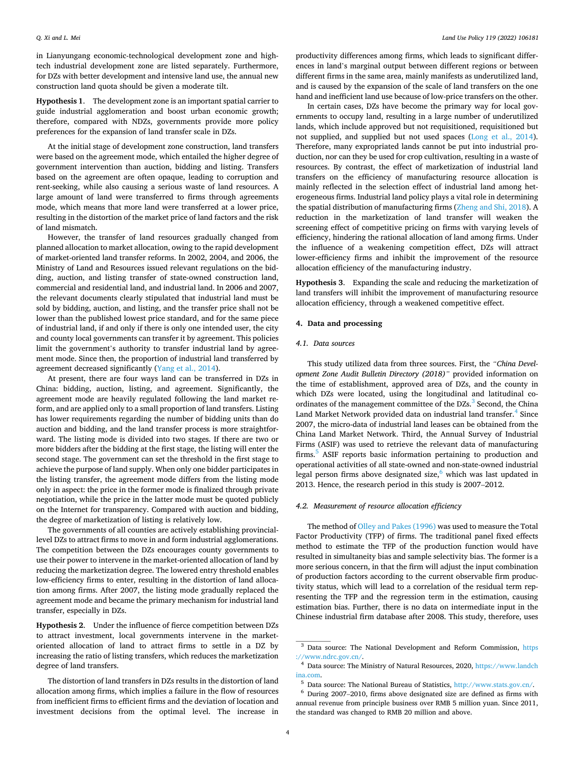<span id="page-3-0"></span>in Lianyungang economic-technological development zone and hightech industrial development zone are listed separately. Furthermore, for DZs with better development and intensive land use, the annual new construction land quota should be given a moderate tilt.

**Hypothesis 1**. The development zone is an important spatial carrier to guide industrial agglomeration and boost urban economic growth; therefore, compared with NDZs, governments provide more policy preferences for the expansion of land transfer scale in DZs.

At the initial stage of development zone construction, land transfers were based on the agreement mode, which entailed the higher degree of government intervention than auction, bidding and listing. Transfers based on the agreement are often opaque, leading to corruption and rent-seeking, while also causing a serious waste of land resources. A large amount of land were transferred to firms through agreements mode, which means that more land were transferred at a lower price, resulting in the distortion of the market price of land factors and the risk of land mismatch.

However, the transfer of land resources gradually changed from planned allocation to market allocation, owing to the rapid development of market-oriented land transfer reforms. In 2002, 2004, and 2006, the Ministry of Land and Resources issued relevant regulations on the bidding, auction, and listing transfer of state-owned construction land, commercial and residential land, and industrial land. In 2006 and 2007, the relevant documents clearly stipulated that industrial land must be sold by bidding, auction, and listing, and the transfer price shall not be lower than the published lowest price standard, and for the same piece of industrial land, if and only if there is only one intended user, the city and county local governments can transfer it by agreement. This policies limit the government's authority to transfer industrial land by agreement mode. Since then, the proportion of industrial land transferred by agreement decreased significantly ([Yang et al., 2014](#page-13-0)).

At present, there are four ways land can be transferred in DZs in China: bidding, auction, listing, and agreement. Significantly, the agreement mode are heavily regulated following the land market reform, and are applied only to a small proportion of land transfers. Listing has lower requirements regarding the number of bidding units than do auction and bidding, and the land transfer process is more straightforward. The listing mode is divided into two stages. If there are two or more bidders after the bidding at the first stage, the listing will enter the second stage. The government can set the threshold in the first stage to achieve the purpose of land supply. When only one bidder participates in the listing transfer, the agreement mode differs from the listing mode only in aspect: the price in the former mode is finalized through private negotiation, while the price in the latter mode must be quoted publicly on the Internet for transparency. Compared with auction and bidding, the degree of marketization of listing is relatively low.

The governments of all counties are actively establishing provinciallevel DZs to attract firms to move in and form industrial agglomerations. The competition between the DZs encourages county governments to use their power to intervene in the market-oriented allocation of land by reducing the marketization degree. The lowered entry threshold enables low-efficiency firms to enter, resulting in the distortion of land allocation among firms. After 2007, the listing mode gradually replaced the agreement mode and became the primary mechanism for industrial land transfer, especially in DZs.

**Hypothesis 2**. Under the influence of fierce competition between DZs to attract investment, local governments intervene in the marketoriented allocation of land to attract firms to settle in a DZ by increasing the ratio of listing transfers, which reduces the marketization degree of land transfers.

The distortion of land transfers in DZs results in the distortion of land allocation among firms, which implies a failure in the flow of resources from inefficient firms to efficient firms and the deviation of location and investment decisions from the optimal level. The increase in

productivity differences among firms, which leads to significant differences in land's marginal output between different regions or between different firms in the same area, mainly manifests as underutilized land, and is caused by the expansion of the scale of land transfers on the one hand and inefficient land use because of low-price transfers on the other.

In certain cases, DZs have become the primary way for local governments to occupy land, resulting in a large number of underutilized lands, which include approved but not requisitioned, requisitioned but not supplied, and supplied but not used spaces [\(Long et al., 2014](#page-12-0)). Therefore, many expropriated lands cannot be put into industrial production, nor can they be used for crop cultivation, resulting in a waste of resources. By contrast, the effect of marketization of industrial land transfers on the efficiency of manufacturing resource allocation is mainly reflected in the selection effect of industrial land among heterogeneous firms. Industrial land policy plays a vital role in determining the spatial distribution of manufacturing firms [\(Zheng and Shi, 2018](#page-13-0)). A reduction in the marketization of land transfer will weaken the screening effect of competitive pricing on firms with varying levels of efficiency, hindering the rational allocation of land among firms. Under the influence of a weakening competition effect, DZs will attract lower-efficiency firms and inhibit the improvement of the resource allocation efficiency of the manufacturing industry.

**Hypothesis 3**. Expanding the scale and reducing the marketization of land transfers will inhibit the improvement of manufacturing resource allocation efficiency, through a weakened competitive effect.

## **4. Data and processing**

## *4.1. Data sources*

This study utilized data from three sources. First, the *"China Development Zone Audit Bulletin Directory (2018)"* provided information on the time of establishment, approved area of DZs, and the county in which DZs were located, using the longitudinal and latitudinal coordinates of the management committee of the DZs.<sup>3</sup> Second, the China Land Market Network provided data on industrial land transfer.<sup>4</sup> Since 2007, the micro-data of industrial land leases can be obtained from the China Land Market Network. Third, the Annual Survey of Industrial Firms (ASIF) was used to retrieve the relevant data of manufacturing firms.5 ASIF reports basic information pertaining to production and operational activities of all state-owned and non-state-owned industrial legal person firms above designated size, $6$  which was last updated in 2013. Hence, the research period in this study is 2007–2012.

## *4.2. Measurement of resource allocation efficiency*

The method of [Olley and Pakes \(1996\)](#page-12-0) was used to measure the Total Factor Productivity (TFP) of firms. The traditional panel fixed effects method to estimate the TFP of the production function would have resulted in simultaneity bias and sample selectivity bias. The former is a more serious concern, in that the firm will adjust the input combination of production factors according to the current observable firm productivity status, which will lead to a correlation of the residual term representing the TFP and the regression term in the estimation, causing estimation bias. Further, there is no data on intermediate input in the Chinese industrial firm database after 2008. This study, therefore, uses

<sup>&</sup>lt;sup>3</sup> Data source: The National Development and Reform Commission, https [://www.ndrc.gov.cn/](https://www.ndrc.gov.cn/). 4 Data source: The Ministry of Natural Resources, 2020, [https://www.landch](https://www.landchina.com) 

[ina.com.](https://www.landchina.com) 5 Data source: The National Bureau of Statistics, [http://www.stats.gov.cn/.](http://www.stats.gov.cn/) 6 During 2007–2010, firms above designated size are defined as firms with

annual revenue from principle business over RMB 5 million yuan. Since 2011, the standard was changed to RMB 20 million and above.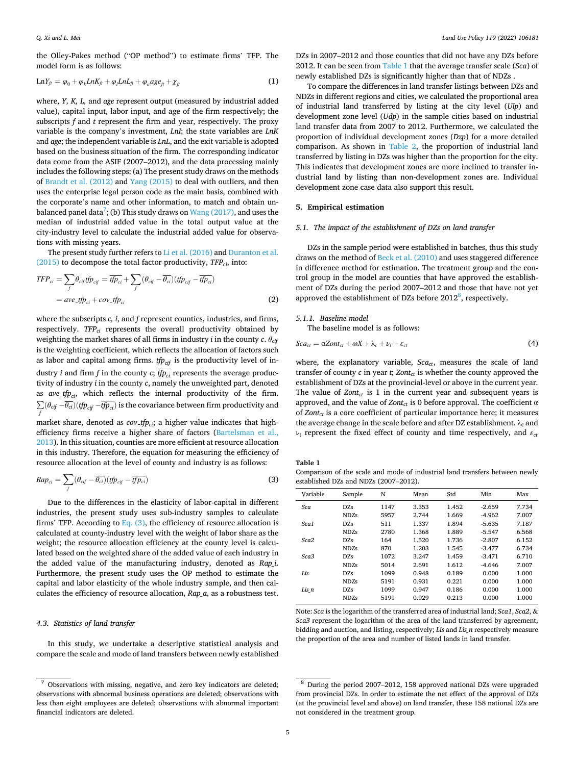<span id="page-4-0"></span>the Olley-Pakes method ("OP method") to estimate firms' TFP. The model form is as follows:

$$
LnY_{ft} = \varphi_0 + \varphi_k LnK_{ft} + \varphi_l LnL_{ft} + \varphi_a age_{ft} + \chi_{ft}
$$
\n(1)

where, *Y, K, L,* and *age* represent output (measured by industrial added value), capital input, labor input, and age of the firm respectively; the subscripts *f* and *t* represent the firm and year, respectively. The proxy variable is the company's investment, *LnI*; the state variables are *LnK*  and *age*; the independent variable is *LnL*, and the exit variable is adopted based on the business situation of the firm. The corresponding indicator data come from the ASIF (2007–2012), and the data processing mainly includes the following steps: (a) The present study draws on the methods of [Brandt et al. \(2012\)](#page-12-0) and [Yang \(2015\)](#page-13-0) to deal with outliers, and then uses the enterprise legal person code as the main basis, combined with the corporate's name and other information, to match and obtain unbalanced panel data<sup>7</sup>; (b) This study draws on  $\mathop{\mathrm{Wang}}\nolimits$  (2017), and uses the median of industrial added value in the total output value at the city-industry level to calculate the industrial added value for observations with missing years.

The present study further refers to [Li et al. \(2016\)](#page-12-0) and [Duranton et al.](#page-12-0)  [\(2015\)](#page-12-0) to decompose the total factor productivity, *TFPci*, into:

$$
TFP_{ci} = \sum_{f} \theta_{cif} tfp_{cif} = \overline{tfp}_{ci} + \sum_{f} (\theta_{cif} - \overline{\theta_{ci}}) (tfp_{cif} - \overline{tfp}_{ci})
$$
  
=  $ave\_tfp_{ci} + cov\_tfp_{ci}$  (2)

where the subscripts *c*, *i*, and *f* represent counties, industries, and firms, respectively. *TFP<sub>ci</sub>* represents the overall productivity obtained by weighting the market shares of all firms in industry *i* in the county *c*.  $\theta_{\text{cir}}$ is the weighting coefficient, which reflects the allocation of factors such as labor and capital among firms. *tfp<sub>cif</sub>* is the productivity level of industry *i* and firm *f* in the county *c*;  $\overline{tp_{ci}}$  represents the average productivity of industry *i* in the county *c*, namely the unweighted part, denoted as  $ave\_tfp_{ci}$ , which reflects the internal productivity of the firm. ∑  $\int_{f}^{f} (\theta_{\text{cif}} - \theta_{\text{c}i}) (\text{tfp}_{\text{cif}} - \text{tfp}_{\text{c}i})$  is the covariance between firm productivity and market share, denoted as  $cov_{\text{-}}tfp_{\text{ci}}$ ; a higher value indicates that high-

efficiency firms receive a higher share of factors [\(Bartelsman et al.,](#page-12-0)  [2013\)](#page-12-0). In this situation, counties are more efficient at resource allocation in this industry. Therefore, the equation for measuring the efficiency of resource allocation at the level of county and industry is as follows:

$$
Rap_{ci} = \sum_{f} (\theta_{cif} - \overline{\theta_{ci}}) (tf\hat{p}_{cif} - \overline{tfp_{ci}})
$$
\n(3)

Due to the differences in the elasticity of labor-capital in different industries, the present study uses sub-industry samples to calculate firms' TFP. According to Eq. (3), the efficiency of resource allocation is calculated at county-industry level with the weight of labor share as the weight; the resource allocation efficiency at the county level is calculated based on the weighted share of the added value of each industry in the added value of the manufacturing industry, denoted as *Rap\_i*. Furthermore, the present study uses the OP method to estimate the capital and labor elasticity of the whole industry sample, and then calculates the efficiency of resource allocation, *Rap\_a*, as a robustness test.

## *4.3. Statistics of land transfer*

In this study, we undertake a descriptive statistical analysis and compare the scale and mode of land transfers between newly established

DZs in 2007–2012 and those counties that did not have any DZs before 2012. It can be seen from Table 1 that the average transfer scale (*Sca*) of newly established DZs is significantly higher than that of NDZs .

To compare the differences in land transfer listings between DZs and NDZs in different regions and cities, we calculated the proportional area of industrial land transferred by listing at the city level (*Ulp*) and development zone level (*Udp*) in the sample cities based on industrial land transfer data from 2007 to 2012. Furthermore, we calculated the proportion of individual development zones (*Dzp*) for a more detailed comparison. As shown in [Table 2](#page-5-0), the proportion of industrial land transferred by listing in DZs was higher than the proportion for the city. This indicates that development zones are more inclined to transfer industrial land by listing than non-development zones are. Individual development zone case data also support this result.

## **5. Empirical estimation**

# *5.1. The impact of the establishment of DZs on land transfer*

DZs in the sample period were established in batches, thus this study draws on the method of [Beck et al. \(2010\)](#page-12-0) and uses staggered difference in difference method for estimation. The treatment group and the control group in the model are counties that have approved the establishment of DZs during the period 2007–2012 and those that have not yet approved the establishment of DZs before  $2012^8$ , respectively.

## *5.1.1. Baseline model*

The baseline model is as follows:

$$
Sca_{ct} = \alpha Zont_{ct} + \omega X + \lambda_c + \nu_t + \varepsilon_{ct}
$$
\n<sup>(4)</sup>

where, the explanatory variable,  $Sca_{ct}$ , measures the scale of land transfer of county  $c$  in year  $t$ ;  $Zont_{ct}$  is whether the county approved the establishment of DZs at the provincial-level or above in the current year. The value of  $Zont_{ct}$  is 1 in the current year and subsequent years is approved, and the value of  $Zont_{ct}$  is 0 before approval. The coefficient  $\alpha$ of *Zont<sub>ct</sub>* is a core coefficient of particular importance here; it measures the average change in the scale before and after DZ establishment.  $\lambda_c$  and  $v_t$  represent the fixed effect of county and time respectively, and  $\varepsilon_{ct}$ 

**Table 1** 

Comparison of the scale and mode of industrial land transfers between newly established DZs and NDZs (2007–2012).

| Variable | Sample            | N    | Mean  | Std   | Min      | Max   |
|----------|-------------------|------|-------|-------|----------|-------|
| Sca      | DZs               | 1147 | 3.353 | 1.452 | $-2.659$ | 7.734 |
|          | NDZs              | 5957 | 2.744 | 1.669 | $-4.962$ | 7.007 |
| Sca1     | D <sub>7s</sub>   | 511  | 1.337 | 1.894 | $-5.635$ | 7.187 |
|          | NDZs              | 2780 | 1.368 | 1.889 | $-5.547$ | 6.568 |
| Sca2     | DZs               | 164  | 1.520 | 1.736 | $-2.807$ | 6.152 |
|          | NDZs              | 870  | 1.203 | 1.545 | $-3.477$ | 6.734 |
| Sca3     | DZs               | 1072 | 3.247 | 1.459 | $-3.471$ | 6.710 |
|          | NDZs              | 5014 | 2.691 | 1.612 | $-4.646$ | 7.007 |
| Lis      | DZs               | 1099 | 0.948 | 0.189 | 0.000    | 1.000 |
|          | NDZs              | 5191 | 0.931 | 0.221 | 0.000    | 1.000 |
| Lis n    | DZs               | 1099 | 0.947 | 0.186 | 0.000    | 1.000 |
|          | ND <sub>7.s</sub> | 5191 | 0.929 | 0.213 | 0.000    | 1.000 |

Note: *Sca* is the logarithm of the transferred area of industrial land; *Sca1*, *Sca2*, & *Sca3* represent the logarithm of the area of the land transferred by agreement, bidding and auction, and listing, respectively; *Lis* and *Lis\_n* respectively measure the proportion of the area and number of listed lands in land transfer.

<sup>7</sup> Observations with missing, negative, and zero key indicators are deleted; observations with abnormal business operations are deleted; observations with less than eight employees are deleted; observations with abnormal important financial indicators are deleted.

<sup>8</sup> During the period 2007–2012, 158 approved national DZs were upgraded from provincial DZs. In order to estimate the net effect of the approval of DZs (at the provincial level and above) on land transfer, these 158 national DZs are not considered in the treatment group.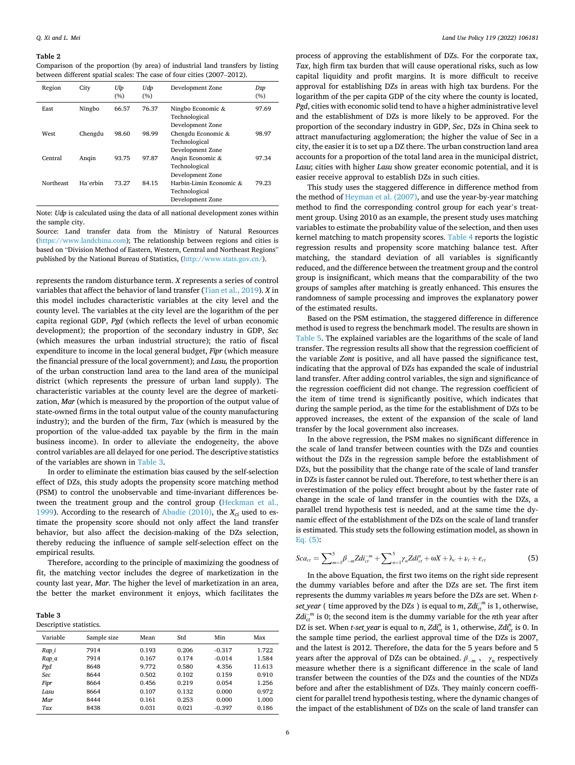<span id="page-5-0"></span>Comparison of the proportion (by area) of industrial land transfers by listing between different spatial scales: The case of four cities (2007–2012).

| Region    | City     | Ulp<br>(%) | Udp<br>(%) | Development Zone                                             | Dzp<br>(%) |
|-----------|----------|------------|------------|--------------------------------------------------------------|------------|
| East      | Ningbo   | 66.57      | 76.37      | Ningbo Economic $&$<br>Technological<br>Development Zone     | 97.69      |
| West      | Chengdu  | 98.60      | 98.99      | Chengdu Economic &<br>Technological<br>Development Zone      | 98.97      |
| Central   | Angin    | 93.75      | 97.87      | Angin Economic &<br>Technological<br>Development Zone        | 97.34      |
| Northeast | Ha'erbin | 73.27      | 84.15      | Harbin-Limin Economic &<br>Technological<br>Development Zone | 79.23      |

Note: *Udp* is calculated using the data of all national development zones within the sample city.

Source: Land transfer data from the Ministry of Natural Resources [\(https://www.landchina.com\)](https://www.landchina.com); The relationship between regions and cities is based on "Division Method of Eastern, Western, Central and Northeast Regions" published by the National Bureau of Statistics, [\(http://www.stats.gov.cn/\)](http://www.stats.gov.cn/).

represents the random disturbance term. *X* represents a series of control variables that affect the behavior of land transfer ([Tian et al., 2019](#page-13-0)). *X* in this model includes characteristic variables at the city level and the county level. The variables at the city level are the logarithm of the per capita regional GDP, *Pgd* (which reflects the level of urban economic development); the proportion of the secondary industry in GDP, *Sec*  (which measures the urban industrial structure); the ratio of fiscal expenditure to income in the local general budget, *Fipr* (which measure the financial pressure of the local government); and *Lasu,* the proportion of the urban construction land area to the land area of the municipal district (which represents the pressure of urban land supply). The characteristic variables at the county level are the degree of marketization, *Mar* (which is measured by the proportion of the output value of state-owned firms in the total output value of the county manufacturing industry); and the burden of the firm, *Tax* (which is measured by the proportion of the value-added tax payable by the firm in the main business income). In order to alleviate the endogeneity, the above control variables are all delayed for one period. The descriptive statistics of the variables are shown in Table 3.

In order to eliminate the estimation bias caused by the self-selection effect of DZs, this study adopts the propensity score matching method (PSM) to control the unobservable and time-invariant differences between the treatment group and the control group [\(Heckman et al.,](#page-12-0)  [1999\)](#page-12-0). According to the research of [Abadie \(2010\)](#page-12-0), the  $X_{ci}$  used to estimate the propensity score should not only affect the land transfer behavior, but also affect the decision-making of the DZs selection, thereby reducing the influence of sample self-selection effect on the empirical results.

Therefore, according to the principle of maximizing the goodness of fit, the matching vector includes the degree of marketization in the county last year, *Mar*. The higher the level of marketization in an area, the better the market environment it enjoys, which facilitates the

| Table 3                 |
|-------------------------|
| Descriptive statistics. |

| Variable | Sample size | Mean  | Std   | Min      | Max    |  |  |
|----------|-------------|-------|-------|----------|--------|--|--|
| Rap i    | 7914        | 0.193 | 0.206 | $-0.317$ | 1.722  |  |  |
| Rap a    | 7914        | 0.167 | 0.174 | $-0.014$ | 1.584  |  |  |
| Pgd      | 8648        | 9.772 | 0.580 | 4.356    | 11.613 |  |  |
| Sec      | 8644        | 0.502 | 0.102 | 0.159    | 0.910  |  |  |
| Fipr     | 8664        | 0.456 | 0.219 | 0.054    | 1.256  |  |  |
| Lasu     | 8664        | 0.107 | 0.132 | 0.000    | 0.972  |  |  |
| Mar      | 8444        | 0.161 | 0.253 | 0.000    | 1.000  |  |  |
| Tax      | 8438        | 0.031 | 0.021 | $-0.397$ | 0.186  |  |  |

process of approving the establishment of DZs. For the corporate tax, *Tax*, high firm tax burden that will cause operational risks, such as low capital liquidity and profit margins. It is more difficult to receive approval for establishing DZs in areas with high tax burdens. For the logarithm of the per capita GDP of the city where the county is located, *Pgd*, cities with economic solid tend to have a higher administrative level and the establishment of DZs is more likely to be approved. For the proportion of the secondary industry in GDP, *Sec*, DZs in China seek to attract manufacturing agglomeration; the higher the value of Sec in a city, the easier it is to set up a DZ there. The urban construction land area accounts for a proportion of the total land area in the municipal district, *Lasu*; cities with higher *Lasu* show greater economic potential, and it is easier receive approval to establish DZs in such cities.

This study uses the staggered difference in difference method from the method of [Heyman et al. \(2007\)](#page-12-0), and use the year-by-year matching method to find the corresponding control group for each year's treatment group. Using 2010 as an example, the present study uses matching variables to estimate the probability value of the selection, and then uses kernel matching to match propensity scores. [Table 4](#page-6-0) reports the logistic regression results and propensity score matching balance test. After matching, the standard deviation of all variables is significantly reduced, and the difference between the treatment group and the control group is insignificant, which means that the comparability of the two groups of samples after matching is greatly enhanced. This ensures the randomness of sample processing and improves the explanatory power of the estimated results.

Based on the PSM estimation, the staggered difference in difference method is used to regress the benchmark model. The results are shown in [Table 5.](#page-6-0) The explained variables are the logarithms of the scale of land transfer. The regression results all show that the regression coefficient of the variable *Zont* is positive, and all have passed the significance test, indicating that the approval of DZs has expanded the scale of industrial land transfer. After adding control variables, the sign and significance of the regression coefficient did not change. The regression coefficient of the item of time trend is significantly positive, which indicates that during the sample period, as the time for the establishment of DZs to be approved increases, the extent of the expansion of the scale of land transfer by the local government also increases.

In the above regression, the PSM makes no significant difference in the scale of land transfer between counties with the DZs and counties without the DZs in the regression sample before the establishment of DZs, but the possibility that the change rate of the scale of land transfer in DZs is faster cannot be ruled out. Therefore, to test whether there is an overestimation of the policy effect brought about by the faster rate of change in the scale of land transfer in the counties with the DZs, a parallel trend hypothesis test is needed, and at the same time the dynamic effect of the establishment of the DZs on the scale of land transfer is estimated. This study sets the following estimation model, as shown in Eq. (5):

$$
Sca_{ct} = \sum_{m=1}^{5} \beta_{-m} Z d i_{ct}^{-m} + \sum_{n=1}^{5} \gamma_n Z d i_{ct}^{n} + \omega X + \lambda_c + \nu_t + \varepsilon_{ct}
$$
(5)

In the above Equation, the first two items on the right side represent the dummy variables before and after the DZs are set. The first item represents the dummy variables *m* years before the DZs are set. When *tset\_year* ( time approved by the DZs ) is equal to  $m$ ,  $Zd_{ct}^{-m}$  is 1, otherwise,  $Zd{i_{ct}}^m$  is 0; the second item is the dummy variable for the *n*th year after DZ is set. When *t-set\_year* is equal to *n*,  $Zdt_{ct}^{n}$  is 1, otherwise,  $Zdt_{ct}^{n}$  is 0. In the sample time period, the earliest approval time of the DZs is 2007, and the latest is 2012. Therefore, the data for the 5 years before and 5 years after the approval of DZs can be obtained.  $\beta_{-m}$ ,  $\gamma_n$  respectively measure whether there is a significant difference in the scale of land transfer between the counties of the DZs and the counties of the NDZs before and after the establishment of DZs. They mainly concern coefficient for parallel trend hypothesis testing, where the dynamic changes of the impact of the establishment of DZs on the scale of land transfer can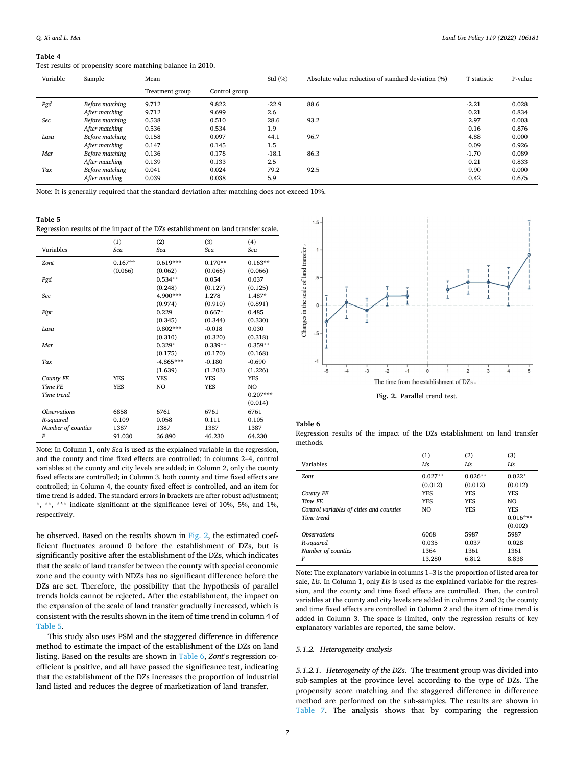## <span id="page-6-0"></span>Test results of propensity score matching balance in 2010.

| Variable | Sample          | Mean            |               |         | Absolute value reduction of standard deviation (%) | T statistic | P-value |
|----------|-----------------|-----------------|---------------|---------|----------------------------------------------------|-------------|---------|
|          |                 | Treatment group | Control group |         |                                                    |             |         |
| Pgd      | Before matching | 9.712           | 9.822         | $-22.9$ | 88.6                                               | $-2.21$     | 0.028   |
|          | After matching  | 9.712           | 9.699         | 2.6     |                                                    | 0.21        | 0.834   |
| Sec      | Before matching | 0.538           | 0.510         | 28.6    | 93.2                                               | 2.97        | 0.003   |
|          | After matching  | 0.536           | 0.534         | 1.9     |                                                    | 0.16        | 0.876   |
| Lasu     | Before matching | 0.158           | 0.097         | 44.1    | 96.7                                               | 4.88        | 0.000   |
|          | After matching  | 0.147           | 0.145         | 1.5     |                                                    | 0.09        | 0.926   |
| Mar      | Before matching | 0.136           | 0.178         | $-18.1$ | 86.3                                               | $-1.70$     | 0.089   |
|          | After matching  | 0.139           | 0.133         | 2.5     |                                                    | 0.21        | 0.833   |
| Tax      | Before matching | 0.041           | 0.024         | 79.2    | 92.5                                               | 9.90        | 0.000   |
|          | After matching  | 0.039           | 0.038         | 5.9     |                                                    | 0.42        | 0.675   |

Note: It is generally required that the standard deviation after matching does not exceed 10%.

**Table 5** 

Regression results of the impact of the DZs establishment on land transfer scale.

|                     | (1)        | (2)            | (3)        | (4)        |
|---------------------|------------|----------------|------------|------------|
| Variables           | Sca        | Sca            | Sca        | Sca        |
| Zont                | $0.167**$  | $0.619***$     | $0.170**$  | $0.163**$  |
|                     | (0.066)    | (0.062)        | (0.066)    | (0.066)    |
| Pgd                 |            | $0.534**$      | 0.054      | 0.037      |
|                     |            | (0.248)        | (0.127)    | (0.125)    |
| Sec                 |            | 4.900***       | 1.278      | 1.487*     |
|                     |            | (0.974)        | (0.910)    | (0.891)    |
| Fipr                |            | 0.229          | $0.667*$   | 0.485      |
|                     |            | (0.345)        | (0.344)    | (0.330)    |
| Lasu                |            | $0.802***$     | $-0.018$   | 0.030      |
|                     |            | (0.310)        | (0.320)    | (0.318)    |
| Mar                 |            | $0.329*$       | $0.339**$  | $0.359**$  |
|                     |            | (0.175)        | (0.170)    | (0.168)    |
| Tax                 |            | $-4.865***$    | $-0.180$   | $-0.690$   |
|                     |            | (1.639)        | (1.203)    | (1.226)    |
| County FE           | <b>YES</b> | <b>YES</b>     | <b>YES</b> | <b>YES</b> |
| Time FE             | <b>YES</b> | N <sub>O</sub> | <b>YES</b> | NO         |
| Time trend          |            |                |            | $0.207***$ |
|                     |            |                |            | (0.014)    |
| <b>Observations</b> | 6858       | 6761           | 6761       | 6761       |
| R-squared           | 0.109      | 0.058          | 0.111      | 0.105      |
| Number of counties  | 1387       | 1387           | 1387       | 1387       |
| F                   | 91.030     | 36.890         | 46.230     | 64.230     |
|                     |            |                |            |            |

Note: In Column 1, only *Sca* is used as the explained variable in the regression, and the county and time fixed effects are controlled; in columns 2–4, control variables at the county and city levels are added; in Column 2, only the county fixed effects are controlled; in Column 3, both county and time fixed effects are controlled; in Column 4, the county fixed effect is controlled, and an item for time trend is added. The standard errors in brackets are after robust adjustment; \*, \*\*, \*\*\* indicate significant at the significance level of 10%, 5%, and 1%, respectively.

be observed. Based on the results shown in Fig. 2, the estimated coefficient fluctuates around 0 before the establishment of DZs, but is significantly positive after the establishment of the DZs, which indicates that the scale of land transfer between the county with special economic zone and the county with NDZs has no significant difference before the DZs are set. Therefore, the possibility that the hypothesis of parallel trends holds cannot be rejected. After the establishment, the impact on the expansion of the scale of land transfer gradually increased, which is consistent with the results shown in the item of time trend in column 4 of Table 5.

This study also uses PSM and the staggered difference in difference method to estimate the impact of the establishment of the DZs on land listing. Based on the results are shown in Table 6, *Zont*'s regression coefficient is positive, and all have passed the significance test, indicating that the establishment of the DZs increases the proportion of industrial land listed and reduces the degree of marketization of land transfer.



**Table 6** 

Regression results of the impact of the DZs establishment on land transfer methods.

| Variables                                              | (1)        | (2)        | (3)                                 |
|--------------------------------------------------------|------------|------------|-------------------------------------|
|                                                        | Lis        | Lis        | Lis                                 |
| Zont                                                   | $0.027**$  | $0.026**$  | $0.022*$                            |
|                                                        | (0.012)    | (0.012)    | (0.012)                             |
| <b>County FE</b>                                       | <b>YES</b> | <b>YES</b> | <b>YES</b>                          |
| Time FF.                                               | <b>YES</b> | <b>YES</b> | NO.                                 |
| Control variables of cities and counties<br>Time trend | NO.        | <b>YES</b> | <b>YES</b><br>$0.016***$<br>(0.002) |
| <b>Observations</b>                                    | 6068       | 5987       | 5987                                |
| R-squared                                              | 0.035      | 0.037      | 0.028                               |
| Number of counties                                     | 1364       | 1361       | 1361                                |
| F                                                      | 13.280     | 6.812      | 8.838                               |

Note: The explanatory variable in columns 1–3 is the proportion of listed area for sale, *Lis*. In Column 1, only *Lis* is used as the explained variable for the regression, and the county and time fixed effects are controlled. Then, the control variables at the county and city levels are added in columns 2 and 3; the county and time fixed effects are controlled in Column 2 and the item of time trend is added in Column 3. The space is limited, only the regression results of key explanatory variables are reported, the same below.

# *5.1.2. Heterogeneity analysis*

*5.1.2.1. Heterogeneity of the DZs.* The treatment group was divided into sub-samples at the province level according to the type of DZs. The propensity score matching and the staggered difference in difference method are performed on the sub-samples. The results are shown in [Table 7.](#page-7-0) The analysis shows that by comparing the regression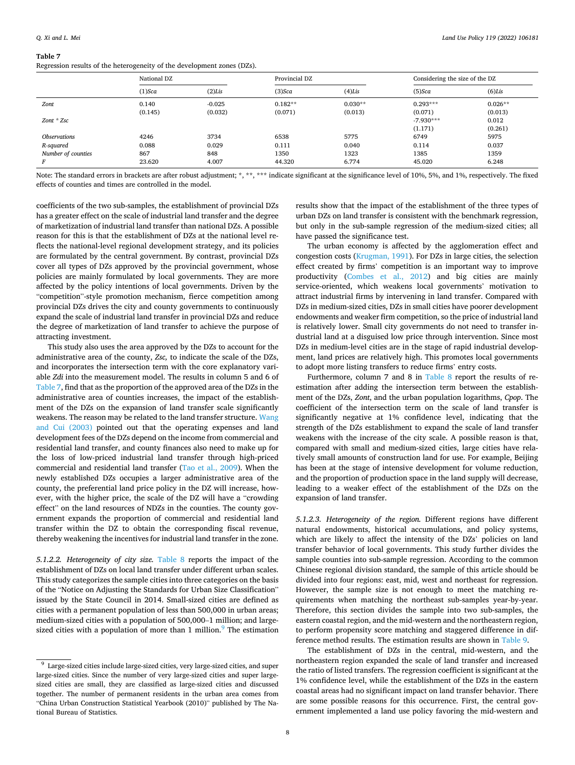<span id="page-7-0"></span>Regression results of the heterogeneity of the development zones (DZs).

|                            | National DZ |           | Provincial DZ |           | Considering the size of the DZ |           |
|----------------------------|-------------|-----------|---------------|-----------|--------------------------------|-----------|
|                            | $(1)$ Sca   | $(2)$ Lis | $(3)$ Sca     | $(4)$ Lis | $(5)$ Sca                      | $(6)$ Lis |
| Zont                       | 0.140       | $-0.025$  | $0.182**$     | $0.030**$ | $0.293***$                     | $0.026**$ |
|                            | (0.145)     | (0.032)   | (0.071)       | (0.013)   | (0.071)                        | (0.013)   |
| $Zont * Zsc$               |             |           |               |           | $-7.930***$                    | 0.012     |
|                            |             |           |               |           | (1.171)                        | (0.261)   |
| <i><b>Observations</b></i> | 4246        | 3734      | 6538          | 5775      | 6749                           | 5975      |
| R-squared                  | 0.088       | 0.029     | 0.111         | 0.040     | 0.114                          | 0.037     |
| Number of counties         | 867         | 848       | 1350          | 1323      | 1385                           | 1359      |
| F                          | 23.620      | 4.007     | 44.320        | 6.774     | 45.020                         | 6.248     |

Note: The standard errors in brackets are after robust adjustment; \*, \*\*, \*\*\* indicate significant at the significance level of 10%, 5%, and 1%, respectively. The fixed effects of counties and times are controlled in the model.

coefficients of the two sub-samples, the establishment of provincial DZs has a greater effect on the scale of industrial land transfer and the degree of marketization of industrial land transfer than national DZs. A possible reason for this is that the establishment of DZs at the national level reflects the national-level regional development strategy, and its policies are formulated by the central government. By contrast, provincial DZs cover all types of DZs approved by the provincial government, whose policies are mainly formulated by local governments. They are more affected by the policy intentions of local governments. Driven by the "competition"-style promotion mechanism, fierce competition among provincial DZs drives the city and county governments to continuously expand the scale of industrial land transfer in provincial DZs and reduce the degree of marketization of land transfer to achieve the purpose of attracting investment.

This study also uses the area approved by the DZs to account for the administrative area of the county, *Zsc,* to indicate the scale of the DZs, and incorporates the intersection term with the core explanatory variable *Zdi* into the measurement model. The results in column 5 and 6 of Table 7, find that as the proportion of the approved area of the DZs in the administrative area of counties increases, the impact of the establishment of the DZs on the expansion of land transfer scale significantly weakens. The reason may be related to the land transfer structure. [Wang](#page-13-0)  [and Cui \(2003\)](#page-13-0) pointed out that the operating expenses and land development fees of the DZs depend on the income from commercial and residential land transfer, and county finances also need to make up for the loss of low-priced industrial land transfer through high-priced commercial and residential land transfer ([Tao et al., 2009](#page-13-0)). When the newly established DZs occupies a larger administrative area of the county, the preferential land price policy in the DZ will increase, however, with the higher price, the scale of the DZ will have a "crowding effect" on the land resources of NDZs in the counties. The county government expands the proportion of commercial and residential land transfer within the DZ to obtain the corresponding fiscal revenue, thereby weakening the incentives for industrial land transfer in the zone.

*5.1.2.2. Heterogeneity of city size.* [Table 8](#page-8-0) reports the impact of the establishment of DZs on local land transfer under different urban scales. This study categorizes the sample cities into three categories on the basis of the "Notice on Adjusting the Standards for Urban Size Classification" issued by the State Council in 2014. Small-sized cities are defined as cities with a permanent population of less than 500,000 in urban areas; medium-sized cities with a population of 500,000–1 million; and largesized cities with a population of more than 1 million. $9$  The estimation

results show that the impact of the establishment of the three types of urban DZs on land transfer is consistent with the benchmark regression, but only in the sub-sample regression of the medium-sized cities; all have passed the significance test.

The urban economy is affected by the agglomeration effect and congestion costs [\(Krugman, 1991\)](#page-12-0). For DZs in large cities, the selection effect created by firms' competition is an important way to improve productivity ([Combes et al., 2012](#page-12-0)) and big cities are mainly service-oriented, which weakens local governments' motivation to attract industrial firms by intervening in land transfer. Compared with DZs in medium-sized cities, DZs in small cities have poorer development endowments and weaker firm competition, so the price of industrial land is relatively lower. Small city governments do not need to transfer industrial land at a disguised low price through intervention. Since most DZs in medium-level cities are in the stage of rapid industrial development, land prices are relatively high. This promotes local governments to adopt more listing transfers to reduce firms' entry costs.

Furthermore, column 7 and 8 in [Table 8](#page-8-0) report the results of reestimation after adding the intersection term between the establishment of the DZs, *Zont*, and the urban population logarithms, *Cpop*. The coefficient of the intersection term on the scale of land transfer is significantly negative at 1% confidence level, indicating that the strength of the DZs establishment to expand the scale of land transfer weakens with the increase of the city scale. A possible reason is that, compared with small and medium-sized cities, large cities have relatively small amounts of construction land for use. For example, Beijing has been at the stage of intensive development for volume reduction, and the proportion of production space in the land supply will decrease, leading to a weaker effect of the establishment of the DZs on the expansion of land transfer.

*5.1.2.3. Heterogeneity of the region.* Different regions have different natural endowments, historical accumulations, and policy systems, which are likely to affect the intensity of the DZs' policies on land transfer behavior of local governments. This study further divides the sample counties into sub-sample regression. According to the common Chinese regional division standard, the sample of this article should be divided into four regions: east, mid, west and northeast for regression. However, the sample size is not enough to meet the matching requirements when matching the northeast sub-samples year-by-year. Therefore, this section divides the sample into two sub-samples, the eastern coastal region, and the mid-western and the northeastern region, to perform propensity score matching and staggered difference in difference method results. The estimation results are shown in [Table 9](#page-8-0).

The establishment of DZs in the central, mid-western, and the northeastern region expanded the scale of land transfer and increased the ratio of listed transfers. The regression coefficient is significant at the 1% confidence level, while the establishment of the DZs in the eastern coastal areas had no significant impact on land transfer behavior. There are some possible reasons for this occurrence. First, the central government implemented a land use policy favoring the mid-western and

 $9$  Large-sized cities include large-sized cities, very large-sized cities, and super large-sized cities. Since the number of very large-sized cities and super largesized cities are small, they are classified as large-sized cities and discussed together. The number of permanent residents in the urban area comes from "China Urban Construction Statistical Yearbook (2010)" published by The National Bureau of Statistics.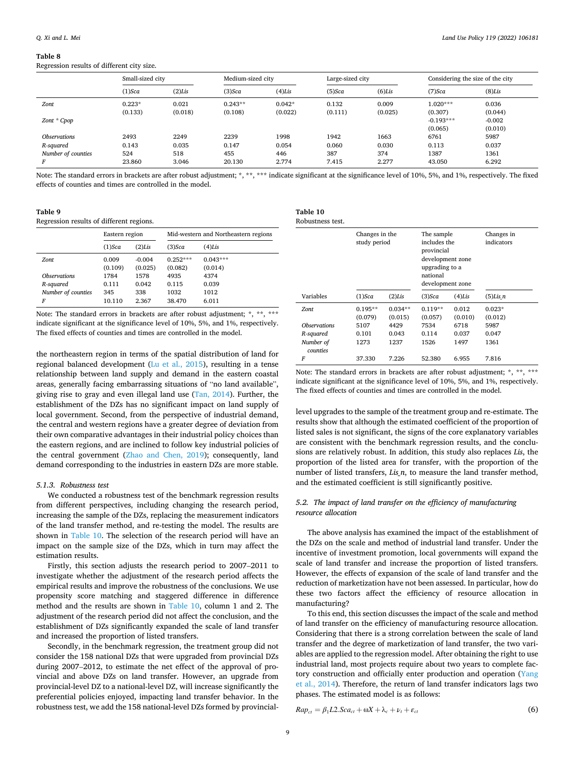<span id="page-8-0"></span>Regression results of different city size.

|                            | Small-sized city |           |           | Medium-sized city |           | Large-sized city |             | Considering the size of the city |  |
|----------------------------|------------------|-----------|-----------|-------------------|-----------|------------------|-------------|----------------------------------|--|
|                            | $(1)$ Sca        | $(2)$ Lis | $(3)$ Sca | $(4)$ Lis         | $(5)$ Sca | $(6)$ Lis        | $(7)$ Sca   | $(8)$ Lis                        |  |
| Zont                       | $0.223*$         | 0.021     | $0.243**$ | $0.042*$          | 0.132     | 0.009            | $1.020***$  | 0.036                            |  |
|                            | (0.133)          | (0.018)   | (0.108)   | (0.022)           | (0.111)   | (0.025)          | (0.307)     | (0.044)                          |  |
| Zont * Cpop                |                  |           |           |                   |           |                  | $-0.193***$ | $-0.002$                         |  |
|                            |                  |           |           |                   |           |                  | (0.065)     | (0.010)                          |  |
| <i><b>Observations</b></i> | 2493             | 2249      | 2239      | 1998              | 1942      | 1663             | 6761        | 5987                             |  |
| R-squared                  | 0.143            | 0.035     | 0.147     | 0.054             | 0.060     | 0.030            | 0.113       | 0.037                            |  |
| Number of counties         | 524              | 518       | 455       | 446               | 387       | 374              | 1387        | 1361                             |  |
| F                          | 23.860           | 3.046     | 20.130    | 2.774             | 7.415     | 2.277            | 43.050      | 6.292                            |  |

Note: The standard errors in brackets are after robust adjustment; \*, \*\*, \*\*\* indicate significant at the significance level of 10%, 5%, and 1%, respectively. The fixed effects of counties and times are controlled in the model.

| Table |  |
|-------|--|
|-------|--|

Regression results of different regions.

|                            | Eastern region   |                     | Mid-western and Northeastern regions |                       |
|----------------------------|------------------|---------------------|--------------------------------------|-----------------------|
|                            | $(1)$ Sca        | $(2)$ Lis           | $(3)$ Sca                            | $(4)$ Lis             |
| Zont                       | 0.009<br>(0.109) | $-0.004$<br>(0.025) | $0.252***$<br>(0.082)                | $0.043***$<br>(0.014) |
| <i><b>Observations</b></i> | 1784             | 1578                | 4935                                 | 4374                  |
| R-squared                  | 0.111            | 0.042               | 0.115                                | 0.039                 |
| Number of counties<br>F    | 345<br>10.110    | 338<br>2.367        | 1032<br>38.470                       | 1012<br>6.011         |

Note: The standard errors in brackets are after robust adjustment; \*, \*\*, \*\*\* indicate significant at the significance level of 10%, 5%, and 1%, respectively. The fixed effects of counties and times are controlled in the model.

the northeastern region in terms of the spatial distribution of land for regional balanced development [\(Lu et al., 2015](#page-12-0)), resulting in a tense relationship between land supply and demand in the eastern coastal areas, generally facing embarrassing situations of "no land available", giving rise to gray and even illegal land use ([Tan, 2014](#page-13-0)). Further, the establishment of the DZs has no significant impact on land supply of local government. Second, from the perspective of industrial demand, the central and western regions have a greater degree of deviation from their own comparative advantages in their industrial policy choices than the eastern regions, and are inclined to follow key industrial policies of the central government ([Zhao and Chen, 2019](#page-13-0)); consequently, land demand corresponding to the industries in eastern DZs are more stable.

## *5.1.3. Robustness test*

We conducted a robustness test of the benchmark regression results from different perspectives, including changing the research period, increasing the sample of the DZs, replacing the measurement indicators of the land transfer method, and re-testing the model. The results are shown in Table 10. The selection of the research period will have an impact on the sample size of the DZs, which in turn may affect the estimation results.

Firstly, this section adjusts the research period to 2007–2011 to investigate whether the adjustment of the research period affects the empirical results and improve the robustness of the conclusions. We use propensity score matching and staggered difference in difference method and the results are shown in Table 10, column 1 and 2. The adjustment of the research period did not affect the conclusion, and the establishment of DZs significantly expanded the scale of land transfer and increased the proportion of listed transfers.

Secondly, in the benchmark regression, the treatment group did not consider the 158 national DZs that were upgraded from provincial DZs during 2007–2012, to estimate the net effect of the approval of provincial and above DZs on land transfer. However, an upgrade from provincial-level DZ to a national-level DZ, will increase significantly the preferential policies enjoyed, impacting land transfer behavior. In the robustness test, we add the 158 national-level DZs formed by provincial-

| Table 10         |  |
|------------------|--|
| Robustness test. |  |

|                       | Changes in the<br>study period |                      | The sample<br>includes the<br>provincial<br>development zone<br>upgrading to a<br>national<br>development zone |                  | Changes in<br>indicators |  |
|-----------------------|--------------------------------|----------------------|----------------------------------------------------------------------------------------------------------------|------------------|--------------------------|--|
| Variables             | $(1)$ Sca                      | $(2)$ Lis            | $(3)$ Sca                                                                                                      | $(4)$ Lis        | $(5)$ Lis n              |  |
| Zont                  | $0.195**$<br>(0.079)           | $0.034**$<br>(0.015) | $0.119**$<br>(0.057)                                                                                           | 0.012<br>(0.010) | $0.023*$<br>(0.012)      |  |
| <b>Observations</b>   | 5107                           | 4429                 | 7534                                                                                                           | 6718             | 5987                     |  |
| R-squared             | 0.101                          | 0.043                | 0.114                                                                                                          | 0.037            | 0.047                    |  |
| Number of<br>counties | 1273                           | 1237                 | 1526                                                                                                           | 1497             | 1361                     |  |
| $\boldsymbol{F}$      | 37.330                         | 7.226                | 52.380                                                                                                         | 6.955            | 7.816                    |  |

Note: The standard errors in brackets are after robust adjustment; \*, \*\*, \*\*\* indicate significant at the significance level of 10%, 5%, and 1%, respectively. The fixed effects of counties and times are controlled in the model.

level upgrades to the sample of the treatment group and re-estimate. The results show that although the estimated coefficient of the proportion of listed sales is not significant, the signs of the core explanatory variables are consistent with the benchmark regression results, and the conclusions are relatively robust. In addition, this study also replaces *Lis*, the proportion of the listed area for transfer, with the proportion of the number of listed transfers, *Lis\_n*, to measure the land transfer method, and the estimated coefficient is still significantly positive.

# *5.2. The impact of land transfer on the efficiency of manufacturing resource allocation*

The above analysis has examined the impact of the establishment of the DZs on the scale and method of industrial land transfer. Under the incentive of investment promotion, local governments will expand the scale of land transfer and increase the proportion of listed transfers. However, the effects of expansion of the scale of land transfer and the reduction of marketization have not been assessed. In particular, how do these two factors affect the efficiency of resource allocation in manufacturing?

To this end, this section discusses the impact of the scale and method of land transfer on the efficiency of manufacturing resource allocation. Considering that there is a strong correlation between the scale of land transfer and the degree of marketization of land transfer, the two variables are applied to the regression model. After obtaining the right to use industrial land, most projects require about two years to complete factory construction and officially enter production and operation ([Yang](#page-13-0)  [et al., 2014](#page-13-0)). Therefore, the return of land transfer indicators lags two phases. The estimated model is as follows:

 $Rap_{ct} = \beta_1 L2.6ca_{ct} + \omega X + \lambda_c + \nu_t + \varepsilon_{ct}$  (6)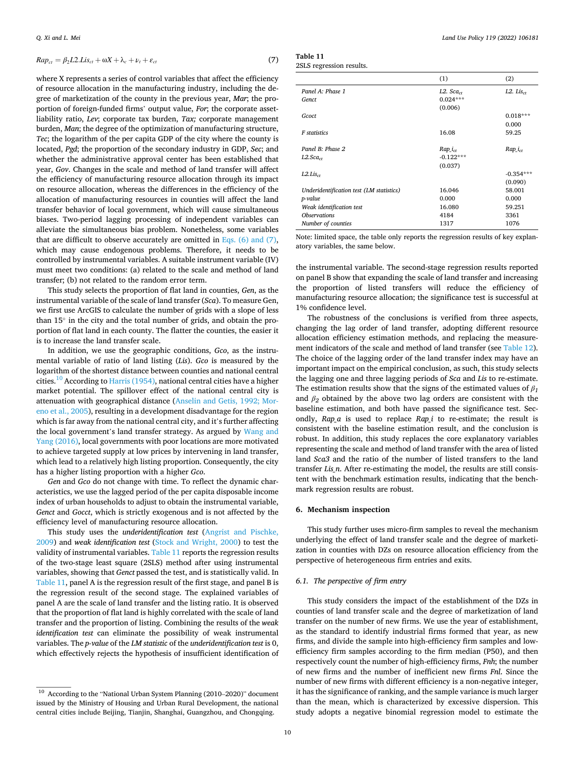<span id="page-9-0"></span>
$$
Rap_{ct} = \beta_2 L2.Lis_{ct} + \omega X + \lambda_c + \nu_t + \varepsilon_{ct}
$$
\n(7)

where X represents a series of control variables that affect the efficiency of resource allocation in the manufacturing industry, including the degree of marketization of the county in the previous year, *Mar*; the proportion of foreign-funded firms' output value, *For*; the corporate assetliability ratio, *Lev*; corporate tax burden, *Tax;* corporate management burden, *Man*; the degree of the optimization of manufacturing structure, *Tec*; the logarithm of the per capita GDP of the city where the county is located, *Pgd*; the proportion of the secondary industry in GDP, *Sec*; and whether the administrative approval center has been established that year, *Gov*. Changes in the scale and method of land transfer will affect the efficiency of manufacturing resource allocation through its impact on resource allocation, whereas the differences in the efficiency of the allocation of manufacturing resources in counties will affect the land transfer behavior of local government, which will cause simultaneous biases. Two-period lagging processing of independent variables can alleviate the simultaneous bias problem. Nonetheless, some variables that are difficult to observe accurately are omitted in Eqs.  $(6)$  and  $(7)$ , which may cause endogenous problems. Therefore, it needs to be controlled by instrumental variables. A suitable instrument variable (IV) must meet two conditions: (a) related to the scale and method of land transfer; (b) not related to the random error term.

This study selects the proportion of flat land in counties, *Gen*, as the instrumental variable of the scale of land transfer (*Sca*). To measure Gen, we first use ArcGIS to calculate the number of grids with a slope of less than 15◦ in the city and the total number of grids, and obtain the proportion of flat land in each county. The flatter the counties, the easier it is to increase the land transfer scale.

In addition, we use the geographic conditions, *Gco*, as the instrumental variable of ratio of land listing (*Lis*). *Gco* is measured by the logarithm of the shortest distance between counties and national central cities.<sup>10</sup> According to [Harris \(1954\),](#page-12-0) national central cities have a higher market potential. The spillover effect of the national central city is attenuation with geographical distance ([Anselin and Getis, 1992; Mor](#page-12-0)[eno et al., 2005](#page-12-0)), resulting in a development disadvantage for the region which is far away from the national central city, and it's further affecting the local government's land transfer strategy. As argued by [Wang and](#page-13-0)  [Yang \(2016\)](#page-13-0), local governments with poor locations are more motivated to achieve targeted supply at low prices by intervening in land transfer, which lead to a relatively high listing proportion. Consequently, the city has a higher listing proportion with a higher *Gco*.

*Gen* and *Gco* do not change with time. To reflect the dynamic characteristics, we use the lagged period of the per capita disposable income index of urban households to adjust to obtain the instrumental variable, *Genct* and *Gocct*, which is strictly exogenous and is not affected by the efficiency level of manufacturing resource allocation.

This study uses the *underidentification test* ([Angrist and Pischke,](#page-12-0)  [2009\)](#page-12-0) and *weak identification test* ([Stock and Wright, 2000](#page-13-0)) to test the validity of instrumental variables. Table 11 reports the regression results of the two-stage least square (2SLS) method after using instrumental variables, showing that *Genct* passed the test, and is statistically valid. In Table 11, panel A is the regression result of the first stage, and panel B is the regression result of the second stage. The explained variables of panel A are the scale of land transfer and the listing ratio. It is observed that the proportion of flat land is highly correlated with the scale of land transfer and the proportion of listing. Combining the results of the *weak identification test* can eliminate the possibility of weak instrumental variables. The *p-value* of the *LM statistic* of the *underidentification test* is 0, which effectively rejects the hypothesis of insufficient identification of

| Table 11                |  |
|-------------------------|--|
| 25 S. regression result |  |

|                                          | (1)                     | (2)                 |
|------------------------------------------|-------------------------|---------------------|
| Panel A: Phase 1                         | $L2.$ Sca <sub>ct</sub> | $L2.$ Lis $_{ct}$   |
| Genct                                    | $0.024***$              |                     |
|                                          | (0.006)                 |                     |
| Gcoct                                    |                         | $0.018***$          |
|                                          |                         | 0.000               |
| F statistics                             | 16.08                   | 59.25               |
| Panel B: Phase 2                         | $Rap\_i_{ct}$           | Rap_i <sub>ct</sub> |
| $L2.$ Sca $_{ct}$                        | $-0.122***$             |                     |
|                                          | (0.037)                 |                     |
| $L2.Lis_{ct}$                            |                         | $-0.354***$         |
|                                          |                         | (0.090)             |
| Underidentification test (LM statistics) | 16.046                  | 58.001              |
| p-value                                  | 0.000                   | 0.000               |
| Weak identification test                 | 16.080                  | 59.251              |
| <i><b>Observations</b></i>               | 4184                    | 3361                |

Note: limited space, the table only reports the regression results of key explanatory variables, the same below.

*Number of counties* **1317** 1076

the instrumental variable. The second-stage regression results reported on panel B show that expanding the scale of land transfer and increasing the proportion of listed transfers will reduce the efficiency of manufacturing resource allocation; the significance test is successful at 1% confidence level.

The robustness of the conclusions is verified from three aspects, changing the lag order of land transfer, adopting different resource allocation efficiency estimation methods, and replacing the measurement indicators of the scale and method of land transfer (see [Table 12](#page-10-0)). The choice of the lagging order of the land transfer index may have an important impact on the empirical conclusion, as such, this study selects the lagging one and three lagging periods of *Sca* and *Lis* to re-estimate. The estimation results show that the signs of the estimated values of  $\beta_1$ and  $\beta_2$  obtained by the above two lag orders are consistent with the baseline estimation, and both have passed the significance test. Secondly, *Rap\_a* is used to replace *Rap\_i* to re-estimate; the result is consistent with the baseline estimation result, and the conclusion is robust. In addition, this study replaces the core explanatory variables representing the scale and method of land transfer with the area of listed land *Sca3* and the ratio of the number of listed transfers to the land transfer *Lis n*. After re-estimating the model, the results are still consistent with the benchmark estimation results, indicating that the benchmark regression results are robust.

# **6. Mechanism inspection**

This study further uses micro-firm samples to reveal the mechanism underlying the effect of land transfer scale and the degree of marketization in counties with DZs on resource allocation efficiency from the perspective of heterogeneous firm entries and exits.

# *6.1. The perspective of firm entry*

This study considers the impact of the establishment of the DZs in counties of land transfer scale and the degree of marketization of land transfer on the number of new firms. We use the year of establishment, as the standard to identify industrial firms formed that year, as new firms, and divide the sample into high-efficiency firm samples and lowefficiency firm samples according to the firm median (P50), and then respectively count the number of high-efficiency firms, *Fnh*; the number of new firms and the number of inefficient new firms *Fnl*. Since the number of new firms with different efficiency is a non-negative integer, it has the significance of ranking, and the sample variance is much larger than the mean, which is characterized by excessive dispersion. This study adopts a negative binomial regression model to estimate the

<sup>10</sup> According to the "National Urban System Planning (2010–2020)" document issued by the Ministry of Housing and Urban Rural Development, the national central cities include Beijing, Tianjin, Shanghai, Guangzhou, and Chongqing.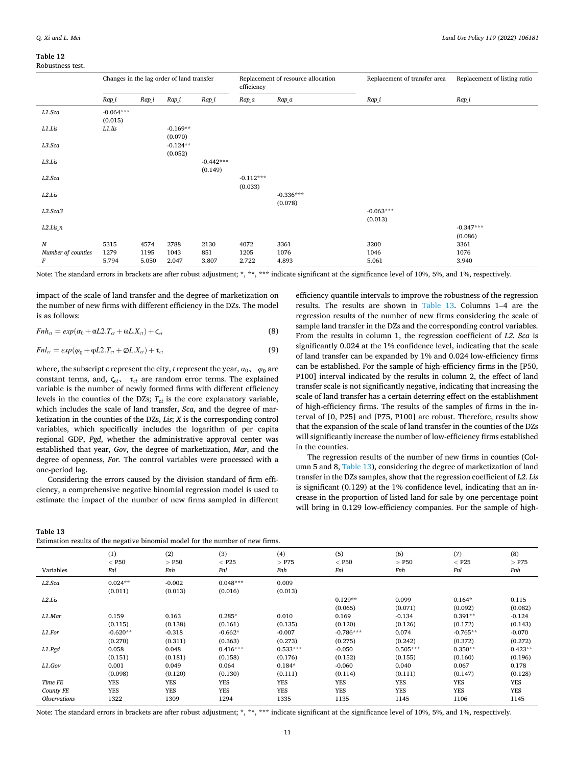<span id="page-10-0"></span>

|                    | Changes in the lag order of land transfer |       |                       | efficiency             | Replacement of resource allocation | Replacement of transfer area | Replacement of listing ratio |                        |
|--------------------|-------------------------------------------|-------|-----------------------|------------------------|------------------------------------|------------------------------|------------------------------|------------------------|
|                    | Rap_i                                     | Rap_i | Rap_i                 | Rap_i                  | Rap_a                              | Rap_a                        | Rap_i                        | Rap_i                  |
| L1.Sca             | $-0.064***$<br>(0.015)                    |       |                       |                        |                                    |                              |                              |                        |
| L1.Lis             | L1.lis                                    |       | $-0.169**$<br>(0.070) |                        |                                    |                              |                              |                        |
| L3.Sca             |                                           |       | $-0.124**$<br>(0.052) |                        |                                    |                              |                              |                        |
| L3.Lis             |                                           |       |                       | $-0.442***$<br>(0.149) |                                    |                              |                              |                        |
| L2.Sca             |                                           |       |                       |                        | $-0.112***$<br>(0.033)             |                              |                              |                        |
| L2.Lis             |                                           |       |                       |                        |                                    | $-0.336***$<br>(0.078)       |                              |                        |
| L2.Sca3            |                                           |       |                       |                        |                                    |                              | $-0.063***$<br>(0.013)       |                        |
| $L2.Lis_n$         |                                           |       |                       |                        |                                    |                              |                              | $-0.347***$<br>(0.086) |
| $\boldsymbol{N}$   | 5315                                      | 4574  | 2788                  | 2130                   | 4072                               | 3361                         | 3200                         | 3361                   |
| Number of counties | 1279                                      | 1195  | 1043                  | 851                    | 1205                               | 1076                         | 1046                         | 1076                   |
| F                  | 5.794                                     | 5.050 | 2.047                 | 3.807                  | 2.722                              | 4.893                        | 5.061                        | 3.940                  |

Note: The standard errors in brackets are after robust adjustment; \*, \*\*, \*\*\* indicate significant at the significance level of 10%, 5%, and 1%, respectively.

impact of the scale of land transfer and the degree of marketization on the number of new firms with different efficiency in the DZs. The model is as follows:

$$
Fnh_{ct} = exp(\alpha_0 + \alpha L2.T_{ct} + \omega L.X_{ct}) + \zeta_{ct}
$$
\n(8)

$$
Fnl_{ct} = exp(\varphi_0 + \varphi L2.T_{ct} + \varphi L.X_{ct}) + \tau_{ct}
$$
\n(9)

where, the subscript *c* represent the city, *t* represent the year,  $\alpha_0$ ,  $\varphi_0$  are constant terms, and,  $\zeta_{ct}$ ,  $\tau_{ct}$  are random error terms. The explained variable is the number of newly formed firms with different efficiency levels in the counties of the DZs;  $T_{ct}$  is the core explanatory variable, which includes the scale of land transfer, *Sca*, and the degree of marketization in the counties of the DZs, *Lis*; *X* is the corresponding control variables, which specifically includes the logarithm of per capita regional GDP, *Pgd*, whether the administrative approval center was established that year, *Gov*, the degree of marketization, *Mar*, and the degree of openness, *For.* The control variables were processed with a one-period lag.

Considering the errors caused by the division standard of firm efficiency, a comprehensive negative binomial regression model is used to estimate the impact of the number of new firms sampled in different efficiency quantile intervals to improve the robustness of the regression results. The results are shown in Table 13. Columns 1–4 are the regression results of the number of new firms considering the scale of sample land transfer in the DZs and the corresponding control variables. From the results in column 1, the regression coefficient of *L2. Sca* is significantly 0.024 at the 1% confidence level, indicating that the scale of land transfer can be expanded by 1% and 0.024 low-efficiency firms can be established. For the sample of high-efficiency firms in the [P50, P100] interval indicated by the results in column 2, the effect of land transfer scale is not significantly negative, indicating that increasing the scale of land transfer has a certain deterring effect on the establishment of high-efficiency firms. The results of the samples of firms in the interval of [0, P25] and [P75, P100] are robust. Therefore, results show that the expansion of the scale of land transfer in the counties of the DZs will significantly increase the number of low-efficiency firms established in the counties.

The regression results of the number of new firms in counties (Column 5 and 8, Table 13), considering the degree of marketization of land transfer in the DZs samples, show that the regression coefficient of *L2. Lis*  is significant (0.129) at the 1% confidence level, indicating that an increase in the proportion of listed land for sale by one percentage point will bring in 0.129 low-efficiency companies. For the sample of high-

**Table 13** 

Estimation results of the negative binomial model for the number of new firms.

| Variables                  | (1)<br>$<$ P50<br>Fnl | (2)<br>$>$ P50<br>Fnh | (3)<br>$<$ P25<br>Fnl | (4)<br>$>$ P75<br>Fnh | (5)<br>$<$ P50<br>Fnl | (6)<br>$>$ P50<br>Fnh | (7)<br>$<$ P25<br>Fnl | (8)<br>$>$ P75<br>Fnh |
|----------------------------|-----------------------|-----------------------|-----------------------|-----------------------|-----------------------|-----------------------|-----------------------|-----------------------|
| L2.Sca                     | $0.024**$             | $-0.002$              | $0.048***$            | 0.009                 |                       |                       |                       |                       |
|                            | (0.011)               | (0.013)               | (0.016)               | (0.013)               |                       |                       |                       |                       |
| L2.Lis                     |                       |                       |                       |                       | $0.129**$             | 0.099                 | $0.164*$              | 0.115                 |
|                            |                       |                       |                       |                       | (0.065)               | (0.071)               | (0.092)               | (0.082)               |
| L1.Mar                     | 0.159                 | 0.163                 | $0.285*$              | 0.010                 | 0.169                 | $-0.134$              | $0.391**$             | $-0.124$              |
|                            | (0.115)               | (0.138)               | (0.161)               | (0.135)               | (0.120)               | (0.126)               | (0.172)               | (0.143)               |
| L1.For                     | $-0.620**$            | $-0.318$              | $-0.662*$             | $-0.007$              | $-0.786***$           | 0.074                 | $-0.765**$            | $-0.070$              |
|                            | (0.270)               | (0.311)               | (0.363)               | (0.273)               | (0.275)               | (0.242)               | (0.372)               | (0.272)               |
| L1.Pgd                     | 0.058                 | 0.048                 | $0.416***$            | $0.533***$            | $-0.050$              | $0.505***$            | $0.350**$             | $0.423**$             |
|                            | (0.151)               | (0.181)               | (0.158)               | (0.176)               | (0.152)               | (0.155)               | (0.160)               | (0.196)               |
| L1.Gov                     | 0.001                 | 0.049                 | 0.064                 | $0.184*$              | $-0.060$              | 0.040                 | 0.067                 | 0.178                 |
|                            | (0.098)               | (0.120)               | (0.130)               | (0.111)               | (0.114)               | (0.111)               | (0.147)               | (0.128)               |
| Time FE                    | <b>YES</b>            | YES                   | YES                   | <b>YES</b>            | YES                   | YES                   | YES                   | YES                   |
| County FE                  | YES                   | YES                   | YES                   | <b>YES</b>            | YES                   | YES                   | YES                   | YES                   |
| <i><b>Observations</b></i> | 1322                  | 1309                  | 1294                  | 1335                  | 1135                  | 1145                  | 1106                  | 1145                  |

Note: The standard errors in brackets are after robust adjustment; \*, \*\*, \*\*\* indicate significant at the significance level of 10%, 5%, and 1%, respectively.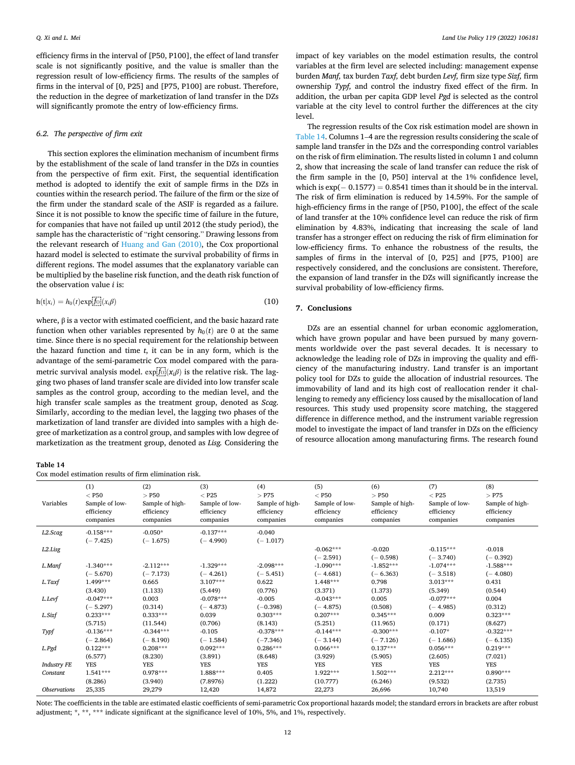<span id="page-11-0"></span>efficiency firms in the interval of [P50, P100], the effect of land transfer scale is not significantly positive, and the value is smaller than the regression result of low-efficiency firms. The results of the samples of firms in the interval of [0, P25] and [P75, P100] are robust. Therefore, the reduction in the degree of marketization of land transfer in the DZs will significantly promote the entry of low-efficiency firms.

# *6.2. The perspective of firm exit*

This section explores the elimination mechanism of incumbent firms by the establishment of the scale of land transfer in the DZs in counties from the perspective of firm exit. First, the sequential identification method is adopted to identify the exit of sample firms in the DZs in counties within the research period. The failure of the firm or the size of the firm under the standard scale of the ASIF is regarded as a failure. Since it is not possible to know the specific time of failure in the future, for companies that have not failed up until 2012 (the study period), the sample has the characteristic of "right censoring." Drawing lessons from the relevant research of [Huang and Gan \(2010\),](#page-12-0) the Cox proportional hazard model is selected to estimate the survival probability of firms in different regions. The model assumes that the explanatory variable can be multiplied by the baseline risk function, and the death risk function of the observation value *i* is:

$$
h(t|x_i) = h_0(t) \exp[\overline{f_0}](x_i \beta) \tag{10}
$$

where,  $β$  is a vector with estimated coefficient, and the basic hazard rate function when other variables represented by  $h_0(t)$  are 0 at the same time. Since there is no special requirement for the relationship between the hazard function and time *t*, it can be in any form, which is the advantage of the semi-parametric Cox model compared with the parametric survival analysis model.  $\exp[\underline{f_0}](x_i \beta)$  is the relative risk. The lagging two phases of land transfer scale are divided into low transfer scale samples as the control group, according to the median level, and the high transfer scale samples as the treatment group, denoted as *Scag*. Similarly, according to the median level, the lagging two phases of the marketization of land transfer are divided into samples with a high degree of marketization as a control group, and samples with low degree of marketization as the treatment group, denoted as *Lisg.* Considering the

impact of key variables on the model estimation results, the control variables at the firm level are selected including: management expense burden *Manf,* tax burden *Taxf,* debt burden *Levf,* firm size type *Sizf,* firm ownership *Typf,* and control the industry fixed effect of the firm. In addition, the urban per capita GDP level *Pgd* is selected as the control variable at the city level to control further the differences at the city level.

The regression results of the Cox risk estimation model are shown in Table 14. Columns 1–4 are the regression results considering the scale of sample land transfer in the DZs and the corresponding control variables on the risk of firm elimination. The results listed in column 1 and column 2, show that increasing the scale of land transfer can reduce the risk of the firm sample in the [0, P50] interval at the 1% confidence level, which is  $exp(-0.1577) = 0.8541$  times than it should be in the interval. The risk of firm elimination is reduced by 14.59%. For the sample of high-efficiency firms in the range of [P50, P100], the effect of the scale of land transfer at the 10% confidence level can reduce the risk of firm elimination by 4.83%, indicating that increasing the scale of land transfer has a stronger effect on reducing the risk of firm elimination for low-efficiency firms. To enhance the robustness of the results, the samples of firms in the interval of [0, P25] and [P75, P100] are respectively considered, and the conclusions are consistent. Therefore, the expansion of land transfer in the DZs will significantly increase the survival probability of low-efficiency firms.

# **7. Conclusions**

DZs are an essential channel for urban economic agglomeration, which have grown popular and have been pursued by many governments worldwide over the past several decades. It is necessary to acknowledge the leading role of DZs in improving the quality and efficiency of the manufacturing industry. Land transfer is an important policy tool for DZs to guide the allocation of industrial resources. The immovability of land and its high cost of reallocation render it challenging to remedy any efficiency loss caused by the misallocation of land resources. This study used propensity score matching, the staggered difference in difference method, and the instrument variable regression model to investigate the impact of land transfer in DZs on the efficiency of resource allocation among manufacturing firms. The research found

| Table |  |
|-------|--|
|-------|--|

Cox model estimation results of firm elimination risk.

| Variables                      | (1)                                 | (2)                                 | (3)                                | (4)                            | (5)                                | (6)                               | (7)                                 | (8)                                 |  |  |  |
|--------------------------------|-------------------------------------|-------------------------------------|------------------------------------|--------------------------------|------------------------------------|-----------------------------------|-------------------------------------|-------------------------------------|--|--|--|
|                                | $<$ P50                             | $>$ P50                             | $<$ P25                            | $>$ P75                        | $<$ P50                            | $>$ P50                           | $<$ P25                             | $>$ P75                             |  |  |  |
|                                | Sample of low-                      | Sample of high-                     | Sample of low-                     | Sample of high-                | Sample of low-                     | Sample of high-                   | Sample of low-                      | Sample of high-                     |  |  |  |
|                                | efficiency                          | efficiency                          | efficiency                         | efficiency                     | efficiency                         | efficiency                        | efficiency                          | efficiency                          |  |  |  |
|                                | companies                           | companies                           | companies                          | companies                      | companies                          | companies                         | companies                           | companies                           |  |  |  |
| L2.Scag                        | $-0.158***$<br>$(-7.425)$           | $-0.050*$<br>$(-1.675)$             | $-0.137***$<br>$(-4.990)$          | $-0.040$<br>$(-1.017)$         |                                    |                                   |                                     |                                     |  |  |  |
| L2.Lisg                        |                                     |                                     |                                    |                                | $-0.062***$<br>$(-2.591)$          | $-0.020$<br>$(-0.598)$            | $-0.115***$<br>$(-3.740)$           | $-0.018$<br>$(-0.392)$              |  |  |  |
| L.Manf                         | $-1.340***$                         | $-2.112***$                         | $-1.329***$                        | $-2.098***$                    | $-1.090***$                        | $-1.852***$                       | $-1.074***$                         | $-1.588***$                         |  |  |  |
|                                | $(-5.670)$                          | $(-7.173)$                          | $(-4.261)$                         | $(-5.451)$                     | $(-4.681)$                         | $(-6.363)$                        | $(-3.518)$                          | $(-4.080)$                          |  |  |  |
| L.Taxf                         | 1.499***                            | 0.665                               | $3.107***$                         | 0.622                          | 1.448***                           | 0.798                             | $3.013***$                          | 0.431                               |  |  |  |
|                                | (3.430)                             | (1.133)                             | (5.449)                            | (0.776)                        | (3.371)                            | (1.373)                           | (5.349)                             | (0.544)                             |  |  |  |
| L.Levf                         | $-0.047***$                         | 0.003                               | $-0.078***$                        | $-0.005$                       | $-0.043***$                        | 0.005                             | $-0.077***$                         | 0.004                               |  |  |  |
|                                | $(-5.297)$                          | (0.314)                             | $(-4.873)$                         | $(-0.398)$                     | $(-4.875)$                         | (0.508)                           | $(-4.985)$                          | (0.312)                             |  |  |  |
| L.Sizf                         | $0.233***$                          | $0.333***$                          | 0.039                              | $0.303***$                     | $0.207***$                         | $0.345***$                        | 0.009                               | $0.323***$                          |  |  |  |
|                                | (5.715)                             | (11.544)                            | (0.706)                            | (8.143)                        | (5.251)                            | (11.965)                          | (0.171)                             | (8.627)                             |  |  |  |
| Typf                           | $-0.136***$                         | $-0.344***$                         | $-0.105$                           | $-0.378***$                    | $-0.144***$                        | $-0.300***$                       | $-0.107*$                           | $-0.322***$                         |  |  |  |
|                                | $(-2.864)$                          | $(-8.190)$                          | $(-1.584)$                         | $(-7.346)$                     | $(-3.144)$                         | $(-7.126)$                        | $(-1.686)$                          | $(-6.135)$                          |  |  |  |
| L.Pgd                          | $0.122***$                          | $0.208***$                          | $0.092***$                         | $0.286***$                     | $0.066***$                         | $0.137***$                        | $0.056***$                          | $0.219***$                          |  |  |  |
|                                | (6.577)                             | (8.230)                             | (3.891)                            | (8.648)                        | (3.929)                            | (5.905)                           | (2.605)                             | (7.021)                             |  |  |  |
| <b>Industry FE</b><br>Constant | <b>YES</b><br>$1.541***$<br>(8.286) | <b>YES</b><br>$0.978***$<br>(3.940) | <b>YES</b><br>1.888***<br>(7.8976) | <b>YES</b><br>0.405<br>(1.222) | <b>YES</b><br>1.922***<br>(10.777) | <b>YES</b><br>1.502***<br>(6.246) | <b>YES</b><br>$2.212***$<br>(9.532) | <b>YES</b><br>$0.890***$<br>(2.735) |  |  |  |
| <i><b>Observations</b></i>     | 25,335                              | 29,279                              | 12,420                             | 14,872                         | 22,273                             | 26,696                            | 10,740                              | 13,519                              |  |  |  |

Note: The coefficients in the table are estimated elastic coefficients of semi-parametric Cox proportional hazards model; the standard errors in brackets are after robust adjustment; \*, \*\*, \*\*\* indicate significant at the significance level of 10%, 5%, and 1%, respectively.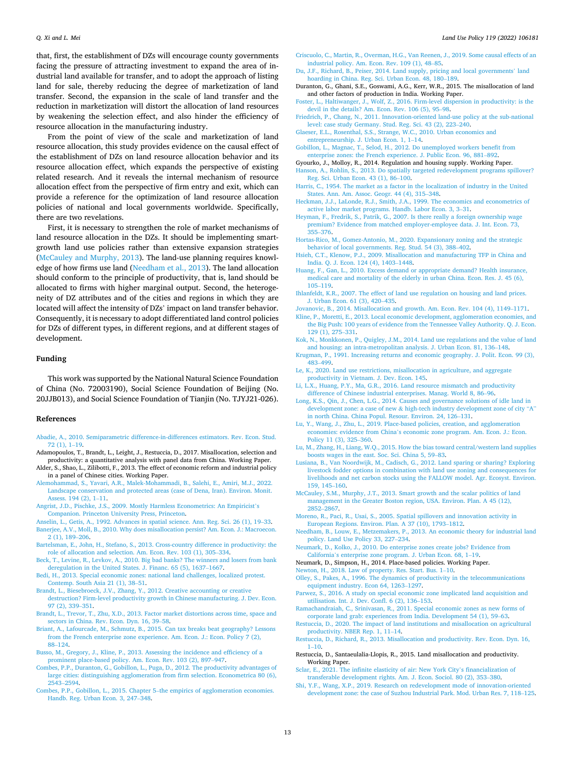<span id="page-12-0"></span>that, first, the establishment of DZs will encourage county governments facing the pressure of attracting investment to expand the area of industrial land available for transfer, and to adopt the approach of listing land for sale, thereby reducing the degree of marketization of land transfer. Second, the expansion in the scale of land transfer and the reduction in marketization will distort the allocation of land resources by weakening the selection effect, and also hinder the efficiency of resource allocation in the manufacturing industry.

From the point of view of the scale and marketization of land resource allocation, this study provides evidence on the causal effect of the establishment of DZs on land resource allocation behavior and its resource allocation effect, which expands the perspective of existing related research. And it reveals the internal mechanism of resource allocation effect from the perspective of firm entry and exit, which can provide a reference for the optimization of land resource allocation policies of national and local governments worldwide. Specifically, there are two revelations.

First, it is necessary to strengthen the role of market mechanisms of land resource allocation in the DZs. It should be implementing smartgrowth land use policies rather than extensive expansion strategies (McCauley and Murphy, 2013). The land-use planning requires knowledge of how firms use land (Needham et al., 2013). The land allocation should conform to the principle of productivity, that is, land should be allocated to firms with higher marginal output. Second, the heterogeneity of DZ attributes and of the cities and regions in which they are located will affect the intensity of DZs' impact on land transfer behavior. Consequently, it is necessary to adopt differentiated land control policies for DZs of different types, in different regions, and at different stages of development.

## **Funding**

This work was supported by the National Natural Science Foundation of China (No. 72003190), Social Science Foundation of Beijing (No. 20JJB013), and Social Science Foundation of Tianjin (No. TJYJ21-026).

## **References**

- [Abadie, A., 2010. Semiparametric difference-in-differences estimators. Rev. Econ. Stud.](http://refhub.elsevier.com/S0264-8377(22)00208-3/sbref1) [72 \(1\), 1](http://refhub.elsevier.com/S0264-8377(22)00208-3/sbref1)–19.
- Adamopoulos, T., Brandt, L., Leight, J., Restuccia, D., 2017. Misallocation, selection and productivity: a quantitative analysis with panel data from China. Working Paper.
- Alder, S., Shao, L., Zilibotti, F., 2013. The effect of economic reform and industrial policy in a panel of Chinese cities. Working Paper.
- [Alemohammad, S., Yavari, A.R., Malek-Mohammadi, B., Salehi, E., Amiri, M.J., 2022.](http://refhub.elsevier.com/S0264-8377(22)00208-3/sbref2)  [Landscape conservation and protected areas \(case of Dena, Iran\). Environ. Monit.](http://refhub.elsevier.com/S0264-8377(22)00208-3/sbref2) [Assess. 194 \(2\), 1](http://refhub.elsevier.com/S0264-8377(22)00208-3/sbref2)–11.
- [Angrist, J.D., Pischke, J.S., 2009. Mostly Harmless Econometrics: An Empiricist](http://refhub.elsevier.com/S0264-8377(22)00208-3/sbref3)'s [Companion. Princeton University Press, Princeton.](http://refhub.elsevier.com/S0264-8377(22)00208-3/sbref3)
- [Anselin, L., Getis, A., 1992. Advances in spatial science. Ann. Reg. Sci. 26 \(1\), 19](http://refhub.elsevier.com/S0264-8377(22)00208-3/sbref4)–33. [Banerjee, A.V., Moll, B., 2010. Why does misallocation persist? Am. Econ. J.: Macroecon.](http://refhub.elsevier.com/S0264-8377(22)00208-3/sbref5)  [2 \(1\), 189](http://refhub.elsevier.com/S0264-8377(22)00208-3/sbref5)–206.
- [Bartelsman, E., John, H., Stefano, S., 2013. Cross-country difference in productivity: the](http://refhub.elsevier.com/S0264-8377(22)00208-3/sbref6)  [role of allocation and selection. Am. Econ. Rev. 103 \(1\), 305](http://refhub.elsevier.com/S0264-8377(22)00208-3/sbref6)–334.
- [Beck, T., Levine, R., Levkov, A., 2010. Big bad banks? The winners and losers from bank](http://refhub.elsevier.com/S0264-8377(22)00208-3/sbref7)  [deregulation in the United States. J. Financ. 65 \(5\), 1637](http://refhub.elsevier.com/S0264-8377(22)00208-3/sbref7)–1667.
- [Bedi, H., 2013. Special economic zones: national land challenges, localized protest.](http://refhub.elsevier.com/S0264-8377(22)00208-3/sbref8) [Contemp. South Asia 21 \(1\), 38](http://refhub.elsevier.com/S0264-8377(22)00208-3/sbref8)–51.
- [Brandt, L., Biesebroeck, J.V., Zhang, Y., 2012. Creative accounting or creative](http://refhub.elsevier.com/S0264-8377(22)00208-3/sbref9) [destruction? Firm-level productivity growth in Chinese manufacturing. J. Dev. Econ.](http://refhub.elsevier.com/S0264-8377(22)00208-3/sbref9)  [97 \(2\), 339](http://refhub.elsevier.com/S0264-8377(22)00208-3/sbref9)–351.
- [Brandt, L., Trevor, T., Zhu, X.D., 2013. Factor market distortions across time, space and](http://refhub.elsevier.com/S0264-8377(22)00208-3/sbref10)  [sectors in China. Rev. Econ. Dyn. 16, 39](http://refhub.elsevier.com/S0264-8377(22)00208-3/sbref10)–58.
- [Briant, A., Lafourcade, M., Schmutz, B., 2015. Can tax breaks beat geography? Lessons](http://refhub.elsevier.com/S0264-8377(22)00208-3/sbref11)  [from the French enterprise zone experience. Am. Econ. J.: Econ. Policy 7 \(2\),](http://refhub.elsevier.com/S0264-8377(22)00208-3/sbref11)  88–[124.](http://refhub.elsevier.com/S0264-8377(22)00208-3/sbref11)

[Busso, M., Gregory, J., Kline, P., 2013. Assessing the incidence and efficiency of a](http://refhub.elsevier.com/S0264-8377(22)00208-3/sbref12)  [prominent place-based policy. Am. Econ. Rev. 103 \(2\), 897](http://refhub.elsevier.com/S0264-8377(22)00208-3/sbref12)–947.

- [Combes, P.P., Duranton, G., Gobillon, L., Puga, D., 2012. The productivity advantages of](http://refhub.elsevier.com/S0264-8377(22)00208-3/sbref13)  [large cities: distinguishing agglomeration from firm selection. Econometrica 80 \(6\),](http://refhub.elsevier.com/S0264-8377(22)00208-3/sbref13)  [2543](http://refhub.elsevier.com/S0264-8377(22)00208-3/sbref13)–2594.
- [Combes, P.P., Gobillon, L., 2015. Chapter 5](http://refhub.elsevier.com/S0264-8377(22)00208-3/sbref14)–the empirics of agglomeration economies. [Handb. Reg. Urban Econ. 3, 247](http://refhub.elsevier.com/S0264-8377(22)00208-3/sbref14)–348.
- [Criscuolo, C., Martin, R., Overman, H.G., Van Reenen, J., 2019. Some causal effects of an](http://refhub.elsevier.com/S0264-8377(22)00208-3/sbref15)  [industrial policy. Am. Econ. Rev. 109 \(1\), 48](http://refhub.elsevier.com/S0264-8377(22)00208-3/sbref15)–85.
- [Du, J.F., Richard, B., Peiser, 2014. Land supply, pricing and local governments](http://refhub.elsevier.com/S0264-8377(22)00208-3/sbref16)' land [hoarding in China. Reg. Sci. Urban Econ. 48, 180](http://refhub.elsevier.com/S0264-8377(22)00208-3/sbref16)–189.
- Duranton, G., Ghani, S.E., Goswami, A.G., Kerr, W.R., 2015. The misallocation of land and other factors of production in India. Working Paper.
- [Foster, L., Haltiwanger, J., Wolf, Z., 2016. Firm-level dispersion in productivity: is the](http://refhub.elsevier.com/S0264-8377(22)00208-3/sbref17)  [devil in the details? Am. Econ. Rev. 106 \(5\), 95](http://refhub.elsevier.com/S0264-8377(22)00208-3/sbref17)–98.
- [Friedrich, P., Chang, N., 2011. Innovation-oriented land-use policy at the sub-national](http://refhub.elsevier.com/S0264-8377(22)00208-3/sbref18)  [level: case study Germany. Stud. Reg. Sci. 43 \(2\), 223](http://refhub.elsevier.com/S0264-8377(22)00208-3/sbref18)–240.
- [Glaeser, E.L., Rosenthal, S.S., Strange, W.C., 2010. Urban economics and](http://refhub.elsevier.com/S0264-8377(22)00208-3/sbref19) [entrepreneurship. J. Urban Econ. 1, 1](http://refhub.elsevier.com/S0264-8377(22)00208-3/sbref19)–14.
- [Gobillon, L., Magnac, T., Selod, H., 2012. Do unemployed workers benefit from](http://refhub.elsevier.com/S0264-8377(22)00208-3/sbref20) [enterprise zones: the French experience. J. Public Econ. 96, 881](http://refhub.elsevier.com/S0264-8377(22)00208-3/sbref20)–892.
- Gyourko, J., Molloy, R., 2014. Regulation and housing supply. Working Paper. nson, A., Rohlin, S., 2013. Do spatially targeted redevelopment programs spillover? [Reg. Sci. Urban Econ. 43 \(1\), 86](http://refhub.elsevier.com/S0264-8377(22)00208-3/sbref21)–100.
- [Harris, C., 1954. The market as a factor in the localization of industry in the United](http://refhub.elsevier.com/S0264-8377(22)00208-3/sbref22)  [States. Ann. Am. Assoc. Geogr. 44 \(4\), 315](http://refhub.elsevier.com/S0264-8377(22)00208-3/sbref22)–348.
- [Heckman, J.J., LaLonde, R.J., Smith, J.A., 1999. The economics and econometrics of](http://refhub.elsevier.com/S0264-8377(22)00208-3/sbref23)  [active labor market programs. Handb. Labor Econ. 3, 3](http://refhub.elsevier.com/S0264-8377(22)00208-3/sbref23)–31.
- [Heyman, F., Fredrik, S., Patrik, G., 2007. Is there really a foreign ownership wage](http://refhub.elsevier.com/S0264-8377(22)00208-3/sbref24) [premium? Evidence from matched employer-employee data. J. Int. Econ. 73,](http://refhub.elsevier.com/S0264-8377(22)00208-3/sbref24) 355–[376](http://refhub.elsevier.com/S0264-8377(22)00208-3/sbref24).
- [Hortas-Rico, M., Gomez-Antonio, M., 2020. Expansionary zoning and the strategic](http://refhub.elsevier.com/S0264-8377(22)00208-3/sbref25) [behavior of local governments. Reg. Stud. 54 \(3\), 388](http://refhub.elsevier.com/S0264-8377(22)00208-3/sbref25)–402.
- [Hsieh, C.T., Klenow, P.J., 2009. Misallocation and manufacturing TFP in China and](http://refhub.elsevier.com/S0264-8377(22)00208-3/sbref26) [India. Q. J. Econ. 124 \(4\), 1403](http://refhub.elsevier.com/S0264-8377(22)00208-3/sbref26)–1448.
- [Huang, F., Gan, L., 2010. Excess demand or appropriate demand? Health insurance,](http://refhub.elsevier.com/S0264-8377(22)00208-3/sbref27)  [medical care and mortality of the elderly in urban China. Econ. Res. J. 45 \(6\),](http://refhub.elsevier.com/S0264-8377(22)00208-3/sbref27)  105–[119](http://refhub.elsevier.com/S0264-8377(22)00208-3/sbref27).
- [Ihlanfeldt, K.R., 2007. The effect of land use regulation on housing and land prices.](http://refhub.elsevier.com/S0264-8377(22)00208-3/sbref28)  [J. Urban Econ. 61 \(3\), 420](http://refhub.elsevier.com/S0264-8377(22)00208-3/sbref28)–435.

[Jovanovic, B., 2014. Misallocation and growth. Am. Econ. Rev. 104 \(4\), 1149](http://refhub.elsevier.com/S0264-8377(22)00208-3/sbref29)–1171.

- [Kline, P., Moretti, E., 2013. Local economic development, agglomeration economies, and](http://refhub.elsevier.com/S0264-8377(22)00208-3/sbref30)  [the Big Push: 100 years of evidence from the Tennessee Valley Authority. Q. J. Econ.](http://refhub.elsevier.com/S0264-8377(22)00208-3/sbref30)  [129 \(1\), 275](http://refhub.elsevier.com/S0264-8377(22)00208-3/sbref30)–331.
- [Kok, N., Monkkonen, P., Quigley, J.M., 2014. Land use regulations and the value of land](http://refhub.elsevier.com/S0264-8377(22)00208-3/sbref31)  [and housing: an intra-metropolitan analysis. J. Urban Econ. 81, 136](http://refhub.elsevier.com/S0264-8377(22)00208-3/sbref31)–148.
- [Krugman, P., 1991. Increasing returns and economic geography. J. Polit. Econ. 99 \(3\),](http://refhub.elsevier.com/S0264-8377(22)00208-3/sbref32)  483–[499](http://refhub.elsevier.com/S0264-8377(22)00208-3/sbref32).
- [Le, K., 2020. Land use restrictions, misallocation in agriculture, and aggregate](http://refhub.elsevier.com/S0264-8377(22)00208-3/sbref33) [productivity in Vietnam. J. Dev. Econ. 145.](http://refhub.elsevier.com/S0264-8377(22)00208-3/sbref33)
- [Li, L.X., Huang, P.Y., Ma, G.R., 2016. Land resource mismatch and productivity](http://refhub.elsevier.com/S0264-8377(22)00208-3/sbref34) [difference of Chinese industrial enterprises. Manag. World 8, 86](http://refhub.elsevier.com/S0264-8377(22)00208-3/sbref34)–96.
- [Long, K.S., Qin, J., Chen, L.G., 2014. Causes and governance solutions of idle land in](http://refhub.elsevier.com/S0264-8377(22)00208-3/sbref35) development zone: a case of new & [high-tech industry development zone of city](http://refhub.elsevier.com/S0264-8377(22)00208-3/sbref35) "A" [in north China. China Popul. Resour. Environ. 24, 126](http://refhub.elsevier.com/S0264-8377(22)00208-3/sbref35)–131.
- [Lu, Y., Wang, J., Zhu, L., 2019. Place-based policies, creation, and agglomeration](http://refhub.elsevier.com/S0264-8377(22)00208-3/sbref36)  economies: evidence from China'[s economic zone program. Am. Econ. J.: Econ.](http://refhub.elsevier.com/S0264-8377(22)00208-3/sbref36)  [Policy 11 \(3\), 325](http://refhub.elsevier.com/S0264-8377(22)00208-3/sbref36)–360.
- [Lu, M., Zhang, H., Liang, W.Q., 2015. How the bias toward central/western land supplies](http://refhub.elsevier.com/S0264-8377(22)00208-3/sbref37)  [boosts wages in the east. Soc. Sci. China 5, 59](http://refhub.elsevier.com/S0264-8377(22)00208-3/sbref37)–83.
- [Lusiana, B., Van Noordwijk, M., Cadisch, G., 2012. Land sparing or sharing? Exploring](http://refhub.elsevier.com/S0264-8377(22)00208-3/sbref38) [livestock fodder options in combination with land use zoning and consequences for](http://refhub.elsevier.com/S0264-8377(22)00208-3/sbref38)  [livelihoods and net carbon stocks using the FALLOW model. Agr. Ecosyst. Environ.](http://refhub.elsevier.com/S0264-8377(22)00208-3/sbref38) [159, 145](http://refhub.elsevier.com/S0264-8377(22)00208-3/sbref38)–160.
- [McCauley, S.M., Murphy, J.T., 2013. Smart growth and the scalar politics of land](http://refhub.elsevier.com/S0264-8377(22)00208-3/sbref39) [management in the Greater Boston region, USA. Environ. Plan. A 45 \(12\),](http://refhub.elsevier.com/S0264-8377(22)00208-3/sbref39) [2852](http://refhub.elsevier.com/S0264-8377(22)00208-3/sbref39)–2867.
- [Moreno, R., Paci, R., Usai, S., 2005. Spatial spillovers and innovation activity in](http://refhub.elsevier.com/S0264-8377(22)00208-3/sbref40)  [European Regions. Environ. Plan. A 37 \(10\), 1793](http://refhub.elsevier.com/S0264-8377(22)00208-3/sbref40)–1812.
- [Needham, B., Louw, E., Metzemakers, P., 2013. An economic theory for industrial land](http://refhub.elsevier.com/S0264-8377(22)00208-3/sbref41)  [policy. Land Use Policy 33, 227](http://refhub.elsevier.com/S0264-8377(22)00208-3/sbref41)–234.
- [Neumark, D., Kolko, J., 2010. Do enterprise zones create jobs? Evidence from](http://refhub.elsevier.com/S0264-8377(22)00208-3/sbref42)  California'[s enterprise zone program. J. Urban Econ. 68, 1](http://refhub.elsevier.com/S0264-8377(22)00208-3/sbref42)–19.
- Neumark, D., Simpson, H., 2014. Place-based policies. Working Paper.

[Newton, H., 2018. Law of property. Res. Start. Bus. 1](http://refhub.elsevier.com/S0264-8377(22)00208-3/sbref43)–10.

[Olley, S., Pakes, A., 1996. The dynamics of productivity in the telecommunications](http://refhub.elsevier.com/S0264-8377(22)00208-3/sbref44) [equipment industry. Econ 64, 1263](http://refhub.elsevier.com/S0264-8377(22)00208-3/sbref44)–1297.

[Parwez, S., 2016. A study on special economic zone implicated land acquisition and](http://refhub.elsevier.com/S0264-8377(22)00208-3/sbref45) [utilisation. Int. J. Dev. Confl. 6 \(2\), 136](http://refhub.elsevier.com/S0264-8377(22)00208-3/sbref45)–153.

[Ramachandraiah, C., Srinivasan, R., 2011. Special economic zones as new forms of](http://refhub.elsevier.com/S0264-8377(22)00208-3/sbref46)  [corporate land grab: experiences from India. Development 54 \(1\), 59](http://refhub.elsevier.com/S0264-8377(22)00208-3/sbref46)–63.

- [Restuccia, D., 2020. The impact of land institutions and misallocation on agricultural](http://refhub.elsevier.com/S0264-8377(22)00208-3/sbref47) [productivity. NBER Rep. 1, 11](http://refhub.elsevier.com/S0264-8377(22)00208-3/sbref47)–14.
- [Restuccia, D., Richard, R., 2013. Misallocation and productivity. Rev. Econ. Dyn. 16,](http://refhub.elsevier.com/S0264-8377(22)00208-3/sbref48) 1–[10.](http://refhub.elsevier.com/S0264-8377(22)00208-3/sbref48)
- Restuccia, D., Santaeulalia-Llopis, R., 2015. Land misallocation and productivity. Working Paper.
- [Sclar, E., 2021. The infinite elasticity of air: New York City](http://refhub.elsevier.com/S0264-8377(22)00208-3/sbref49)'s financialization of [transferable development rights. Am. J. Econ. Sociol. 80 \(2\), 353](http://refhub.elsevier.com/S0264-8377(22)00208-3/sbref49)–380.
- [Shi, Y.F., Wang, X.P., 2019. Research on redevelopment mode of innovation-oriented](http://refhub.elsevier.com/S0264-8377(22)00208-3/sbref50) [development zone: the case of Suzhou Industrial Park. Mod. Urban Res. 7, 118](http://refhub.elsevier.com/S0264-8377(22)00208-3/sbref50)–125.